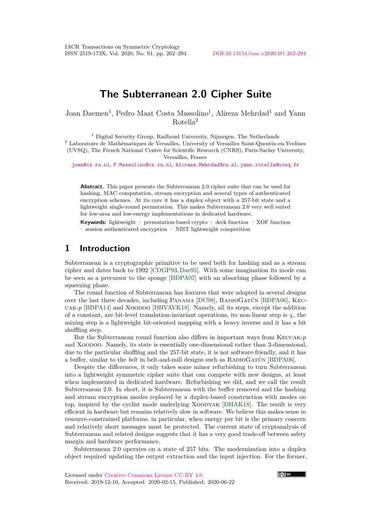# **The Subterranean 2.0 Cipher Suite**

Joan Daemen<sup>1</sup>, Pedro Maat Costa Massolino<sup>1</sup>, Alireza Mehrdad<sup>1</sup> and Yann Rotella<sup>2</sup>

 $<sup>1</sup>$  Digital Security Group, Radboud University, Nijmegen, The Netherlands</sup>

<sup>2</sup> Laboratoire de Mathématiques de Versailles, University of Versailles Saint-Quentin-en-Yvelines (UVSQ), The French National Centre for Scientific Research (CNRS), Paris-Saclay University,

Versailles, France

[joan@cs.ru.nl](mailto:joan@cs.ru.nl), [P.Massolino@cs.ru.nl](mailto:P.Massolino@cs.ru.nl), [Alireza.Mehrdad@ru.nl](mailto:Alireza.Mehrdad@ru.nl), [yann.rotella@uvsq.fr](mailto:yann.rotella@uvsq.fr)

**Abstract.** This paper presents the Subterranean 2.0 cipher suite that can be used for hashing, MAC computation, stream encryption and several types of authenticated encryption schemes. At its core it has a duplex object with a 257-bit state and a lightweight single-round permutation. This makes Subterranean 2.0 very well suited for low-area and low-energy implementations in dedicated hardware.

**Keywords:** lightweight · permutation-based crypto · deck function · XOF function · session authenticated encryption · NIST lightweight competition

# **1 Introduction**

Subterranean is a cryptographic primitive to be used both for hashing and as a stream cipher and dates back to 1992 [\[CDGP93,](#page-23-0)[Dae95\]](#page-23-1). With some imagination its mode can be seen as a precursor to the sponge [\[BDPA07\]](#page-22-0) with an absorbing phase followed by a squeezing phase.

The round function of Subterranean has features that were adopted in several designs over the last three decades, including Panama [\[DC98\]](#page-23-2), RadioGatún [\[BDPA06\]](#page-22-1), Keccak-*p* [\[BDPA14\]](#page-23-3) and Xoodoo [\[DHVAVK18\]](#page-24-0). Namely, all its steps, except the addition of a constant, are bit-level translation-invariant operations, its non-linear step is  $\chi$ , the mixing step is a lightweight bit-oriented mapping with a heavy inverse and it has a bit shuffling step.

But the Subterranean round function also differs in important ways from Keccak-*p* and Xoodoo. Namely, its state is essentially one-dimensional rather than 3-dimensional, due to the particular shuffling and the 257-bit state, it is not software-friendly, and it has a buffer, similar to the *belt* in belt-and-mill designs such as RadioGatún [\[BDPA06\]](#page-22-1).

Despite the differences, it only takes some minor refurbishing to turn Subterranean into a lightweight symmetric cipher suite that can compete with new designs, at least when implemented in dedicated hardware. Refurbishing we did, and we call the result Subterranean 2.0. In short, it is Subterranean with the buffer removed and the hashing and stream encryption modes replaced by a duplex-based construction with modes on top, inspired by the cyclist mode underlying Xoodyak [\[DHAK18\]](#page-23-4). The result is very efficient in hardware but remains relatively slow in software. We believe this makes sense in resource-constrained platforms, in particular, when energy per bit is the primary concern and relatively short messages must be protected. The current state of cryptanalysis of Subterranean and related designs suggests that it has a very good trade-off between safety margin and hardware performance.

Subterranean 2.0 operates on a state of 257 bits. The modernization into a duplex object required updating the output extraction and the input injection. For the former,

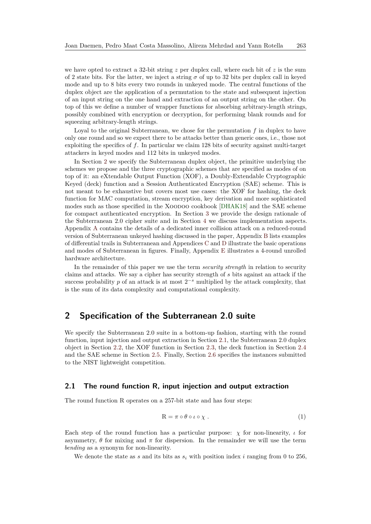we have opted to extract a 32-bit string *z* per duplex call, where each bit of *z* is the sum of 2 state bits. For the latter, we inject a string  $\sigma$  of up to 32 bits per duplex call in keyed mode and up to 8 bits every two rounds in unkeyed mode. The central functions of the duplex object are the application of a permutation to the state and subsequent injection of an input string on the one hand and extraction of an output string on the other. On top of this we define a number of wrapper functions for absorbing arbitrary-length strings, possibly combined with encryption or decryption, for performing blank rounds and for squeezing arbitrary-length strings.

Loyal to the original Subterranean, we chose for the permutation *f* in duplex to have only one round and so we expect there to be attacks better than generic ones, i.e., those not exploiting the specifics of *f*. In particular we claim 128 bits of security against multi-target attackers in keyed modes and 112 bits in unkeyed modes.

In Section [2](#page-1-0) we specify the Subterranean duplex object, the primitive underlying the schemes we propose and the three cryptographic schemes that are specified as modes of on top of it: an eXtendable Output Function (XOF), a Doubly-Extendable Cryptographic Keyed (deck) function and a Session Authenticated Encryption (SAE) scheme. This is not meant to be exhaustive but covers most use cases: the XOF for hashing, the deck function for MAC computation, stream encryption, key derivation and more sophisticated modes such as those specified in the XOODOO cookbook [\[DHAK18\]](#page-23-4) and the SAE scheme for compact authenticated encryption. In Section [3](#page-6-0) we provide the design rationale of the Subterranean 2.0 cipher suite and in Section [4](#page-17-0) we discuss implementation aspects. Appendix [A](#page-25-0) contains the details of a dedicated inner collision attack on a reduced-round version of Subterranean unkeyed hashing discussed in the paper, Appendix [B](#page-27-0) lists examples of differential trails in Subterranean and Appendices [C](#page-28-0) and [D](#page-29-0) illustrate the basic operations and modes of Subterranean in figures. Finally, Appendix [E](#page-32-0) illustrates a 4-round unrolled hardware architecture.

In the remainder of this paper we use the term *security strength* in relation to security claims and attacks. We say a cipher has security strength of *s* bits against an attack if the success probability  $p$  of an attack is at most  $2^{-s}$  multiplied by the attack complexity, that is the sum of its data complexity and computational complexity.

# <span id="page-1-0"></span>**2 Specification of the Subterranean 2.0 suite**

We specify the Subterranean 2.0 suite in a bottom-up fashion, starting with the round function, input injection and output extraction in Section [2.1,](#page-1-1) the Subterranean 2.0 duplex object in Section [2.2,](#page-2-0) the XOF function in Section [2.3,](#page-3-0) the deck function in Section [2.4](#page-4-0) and the SAE scheme in Section [2.5.](#page-5-0) Finally, Section [2.6](#page-5-1) specifies the instances submitted to the NIST lightweight competition.

### <span id="page-1-1"></span>**2.1 The round function R, input injection and output extraction**

The round function R operates on a 257-bit state and has four steps:

$$
R = \pi \circ \theta \circ \iota \circ \chi . \tag{1}
$$

Each step of the round function has a particular purpose:  $\chi$  for non-linearity,  $\iota$  for asymmetry,  $\theta$  for mixing and  $\pi$  for dispersion. In the remainder we will use the term *bending* as a synonym for non-linearity.

We denote the state as *s* and its bits as  $s_i$  with position index *i* ranging from 0 to 256,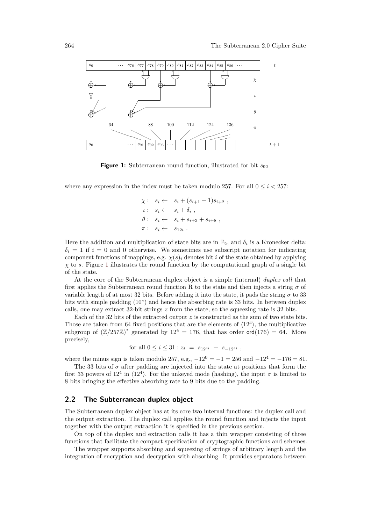<span id="page-2-1"></span>

**Figure 1:** Subterranean round function, illustrated for bit  $s_{92}$ 

where any expression in the index must be taken modulo 257. For all  $0 \leq i \leq 257$ :

$$
\chi: s_i \leftarrow s_i + (s_{i+1} + 1)s_{i+2},
$$
  
\n
$$
\iota: s_i \leftarrow s_i + \delta_i,
$$
  
\n
$$
\theta: s_i \leftarrow s_i + s_{i+3} + s_{i+8},
$$
  
\n
$$
\pi: s_i \leftarrow s_{12i}.
$$

Here the addition and multiplication of state bits are in  $\mathbb{F}_2$ , and  $\delta_i$  is a Kronecker delta:  $\delta_i = 1$  if  $i = 0$  and 0 otherwise. We sometimes use subscript notation for indicating component functions of mappings, e.g.  $\chi(s)$  denotes bit *i* of the state obtained by applying *χ* to *s*. Figure [1](#page-2-1) illustrates the round function by the computational graph of a single bit of the state.

At the core of the Subterranean duplex object is a simple (internal) *duplex call* that first applies the Subterranean round function R to the state and then injects a string  $\sigma$  of variable length of at most 32 bits. Before adding it into the state, it pads the string  $\sigma$  to 33 bits with simple padding (10<sup>∗</sup> ) and hence the absorbing rate is 33 bits. In between duplex calls, one may extract 32-bit strings *z* from the state, so the squeezing rate is 32 bits.

Each of the 32 bits of the extracted output *z* is constructed as the sum of two state bits. Those are taken from 64 fixed positions that are the elements of  $\langle 12^4 \rangle$ , the multiplicative subgroup of  $(\mathbb{Z}/257\mathbb{Z})^*$  generated by  $12^4 = 176$ , that has order ord $(176) = 64$ . More precisely,

for all 
$$
0 \leq i \leq 31 : z_i = s_{12^{4i}} + s_{-12^{4i}}
$$
,

where the minus sign is taken modulo 257, e.g.,  $-12^0 = -1 = 256$  and  $-12^4 = -176 = 81$ .

The 33 bits of  $\sigma$  after padding are injected into the state at positions that form the first 33 powers of  $12^4$  in  $\langle 12^4 \rangle$ . For the unkeyed mode (hashing), the input  $\sigma$  is limited to 8 bits bringing the effective absorbing rate to 9 bits due to the padding.

### <span id="page-2-0"></span>**2.2 The Subterranean duplex object**

The Subterranean duplex object has at its core two internal functions: the duplex call and the output extraction. The duplex call applies the round function and injects the input together with the output extraction it is specified in the previous section.

On top of the duplex and extraction calls it has a thin wrapper consisting of three functions that facilitate the compact specification of cryptographic functions and schemes.

The wrapper supports absorbing and squeezing of strings of arbitrary length and the integration of encryption and decryption with absorbing. It provides separators between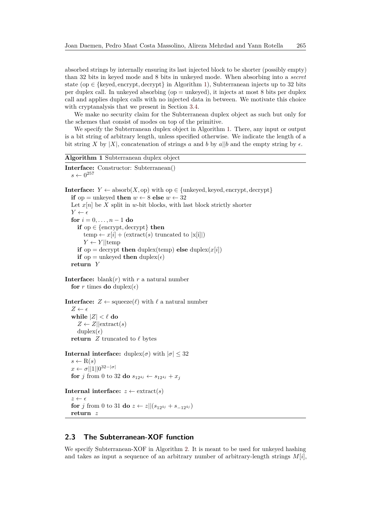absorbed strings by internally ensuring its last injected block to be shorter (possibly empty) than 32 bits in keyed mode and 8 bits in unkeyed mode. When absorbing into a *secret* state (op  $\in$  {keyed, encrypt, decrypt} in Algorithm [1\)](#page-3-1), Subterranean injects up to 32 bits per duplex call. In unkeyed absorbing (op = unkeyed), it injects at most 8 bits per duplex call and applies duplex calls with no injected data in between. We motivate this choice with cryptanalysis that we present in Section [3.4.](#page-11-0)

We make no security claim for the Subterranean duplex object as such but only for the schemes that consist of modes on top of the primitive.

We specify the Subterranean duplex object in Algorithm [1.](#page-3-1) There, any input or output is a bit string of arbitrary length, unless specified otherwise. We indicate the length of a bit string *X* by |*X*|, concatenation of strings *a* and *b* by  $a||b$  and the empty string by  $\epsilon$ .

```
Algorithm 1 Subterranean duplex object
Interface: Constructor: Subterranean()
  s \leftarrow 0^{257}
```
**Interface:** *Y* ← absorb $(X,$  op) with op ∈ {unkeyed, keyed, encrypt, decrypt} **if** op = unkeyed **then**  $w \leftarrow 8$  **else**  $w \leftarrow 32$ Let  $x[n]$  be  $X$  split in *w*-bit blocks, with last block strictly shorter  $Y \leftarrow \epsilon$ **for**  $i = 0, ..., n - 1$  **do if** op  $\in$  {encrypt, decrypt} **then** temp  $\leftarrow x[i] + (\text{extract}(s) \text{ truncated to } |x[i]|)$  $Y \leftarrow Y||temp$ **if** op = decrypt **then** duplex(temp) **else** duplex( $x[i]$ ) **if** op = unkeyed **then** duplex( $\epsilon$ ) **return** *Y*

**Interface:** blank $(r)$  with  $r$  a natural number **for** *r* times **do** duplex( $\epsilon$ )

```
Interface: Z \leftarrow \text{square}(\ell) with \ell a natural number
   Z \leftarrow \epsilonwhile |Z| < \ell do
       Z \leftarrow Z||\text{extract}(s)|\text{duplex}(\epsilon)return Z truncated to \ell bytes
```

```
Internal interface: duplex(\sigma) with |\sigma| \leq 32s \leftarrow R(s)x \leftarrow \sigma ||1|| 0^{32-|\sigma|}for j from 0 to 32 do s_{12^{4j}} \leftarrow s_{12^{4j}} + x_j
```

```
Internal interface: z \leftarrow \text{extract}(s)z \leftarrow \epsilonfor j from 0 to 31 do z ← z||(s_{12^{4j}} + s_{-12^{4j}})
   return z
```
## <span id="page-3-0"></span>**2.3 The Subterranean-XOF function**

We specify Subterranean-XOF in Algorithm [2.](#page-4-1) It is meant to be used for unkeyed hashing and takes as input a sequence of an arbitrary number of arbitrary-length strings  $M[i]$ ,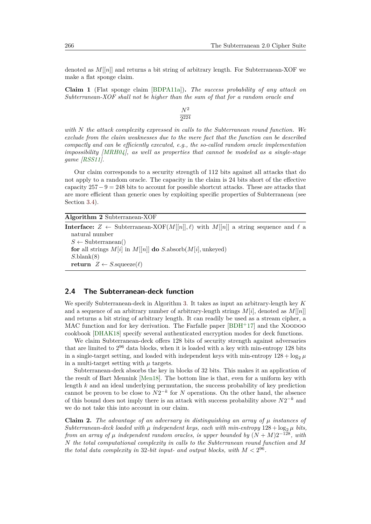denoted as *M*[[*n*]] and returns a bit string of arbitrary length. For Subterranean-XOF we make a flat sponge claim.

<span id="page-4-2"></span>**Claim 1** (Flat sponge claim [\[BDPA11a\]](#page-22-2))**.** *The success probability of any attack on Subterranean-XOF shall not be higher than the sum of that for a random oracle and*

*with N the attack complexity expressed in calls to the Subterranean round function. We exclude from the claim weaknesses due to the mere fact that the function can be described compactly and can be efficiently executed, e.g., the so-called random oracle implementation impossibility [\[MRH04\]](#page-24-1), as well as properties that cannot be modeled as a single-stage game [\[RSS11\]](#page-24-2).*

Our claim corresponds to a security strength of 112 bits against all attacks that do not apply to a random oracle. The capacity in the claim is 24 bits short of the effective capacity  $257-9 = 248$  bits to account for possible shortcut attacks. These are attacks that are more efficient than generic ones by exploiting specific properties of Subterranean (see Section [3.4\)](#page-11-0).

<span id="page-4-1"></span>**Algorithm 2** Subterranean-XOF

**Interface:**  $Z \leftarrow$  Subterranean-XOF( $M[[n]], \ell$ ) with  $M[[n]]$  a string sequence and  $\ell$  a natural number  $S \leftarrow$  Subterranean() **for** all strings  $M[i]$  in  $M[[n]]$  **do**  $S$ .absorb $(M[i],$  unkeyed) *S.*blank(8) **return**  $Z \leftarrow S$ .squeeze $(\ell)$ 

#### <span id="page-4-0"></span>**2.4 The Subterranean-deck function**

We specify Subterranean-deck in Algorithm [3.](#page-5-2) It takes as input an arbitrary-length key *K* and a sequence of an arbitrary number of arbitrary-length strings *M*[*i*], denoted as *M*[[*n*]] and returns a bit string of arbitrary length. It can readily be used as a stream cipher, a MAC function and for key derivation. The Farfalle paper  $[BDH<sup>+</sup>17]$  $[BDH<sup>+</sup>17]$  and the XOODOO cookbook [\[DHAK18\]](#page-23-4) specify several authenticated encryption modes for deck functions.

We claim Subterranean-deck offers 128 bits of security strength against adversaries that are limited to  $2^{96}$  data blocks, when it is loaded with a key with min-entropy 128 bits in a single-target setting, and loaded with independent keys with min-entropy  $128 + \log_2 \mu$ in a multi-target setting with  $\mu$  targets.

Subterranean-deck absorbs the key in blocks of 32 bits. This makes it an application of the result of Bart Mennink [\[Men18\]](#page-24-3). The bottom line is that, even for a uniform key with length *k* and an ideal underlying permutation, the success probability of key prediction cannot be proven to be close to  $N2^{-k}$  for *N* operations. On the other hand, the absence of this bound does not imply there is an attack with success probability above  $N2^{-k}$  and we do not take this into account in our claim.

**Claim 2.** *The advantage of an adversary in distinguishing an array of µ instances of Subterranean-deck loaded with*  $\mu$  *independent keys, each with min-entropy*  $128 + \log_2 \mu$  *bits, from an array of*  $\mu$  *independent random oracles, is upper bounded by*  $(N + M)2^{-128}$ *, with N the total computational complexity in calls to the Subterranean round function and M the total data complexity in* 32-bit input- and output blocks, with  $M < 2^{96}$ .

*N*<sup>2</sup> 2 224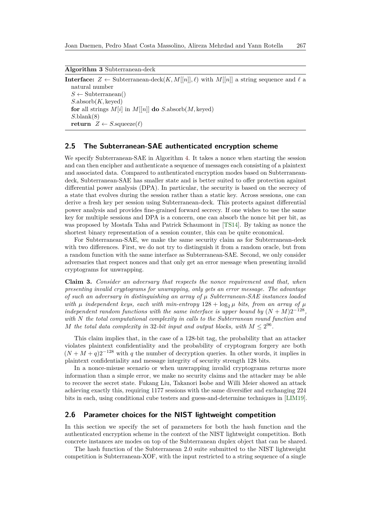<span id="page-5-2"></span>**Algorithm 3** Subterranean-deck

**Interface:**  $Z \leftarrow$  Subterranean-deck $(K, M[[n]], \ell)$  with  $M[[n]]$  a string sequence and  $\ell$  a natural number  $S \leftarrow$  Subterranean() *S.*absorb(*K,* keyed) **for** all strings  $M[i]$  in  $M[[n]]$  **do**  $S$ .absorb $(M, \text{keyed})$ *S.*blank(8) **return**  $Z \leftarrow S$ .squeeze( $\ell$ )

## <span id="page-5-0"></span>**2.5 The Subterranean-SAE authenticated encryption scheme**

We specify Subterranean-SAE in Algorithm [4.](#page-6-1) It takes a nonce when starting the session and can then encipher and authenticate a sequence of messages each consisting of a plaintext and associated data. Compared to authenticated encryption modes based on Subterraneandeck, Subterranean-SAE has smaller state and is better suited to offer protection against differential power analysis (DPA). In particular, the security is based on the secrecy of a state that evolves during the session rather than a static key. Across sessions, one can derive a fresh key per session using Subterranean-deck. This protects against differential power analysis and provides fine-grained forward secrecy. If one wishes to use the same key for multiple sessions and DPA is a concern, one can absorb the nonce bit per bit, as was proposed by Mostafa Taha and Patrick Schaumont in [\[TS14\]](#page-24-4). By taking as nonce the shortest binary representation of a session counter, this can be quite economical.

For Subterranean-SAE, we make the same security claim as for Subterranean-deck with two differences. First, we do not try to distinguish it from a random oracle, but from a random function with the same interface as Subterranean-SAE. Second, we only consider adversaries that respect nonces and that only get an error message when presenting invalid cryptograms for unwrapping.

<span id="page-5-3"></span>**Claim 3.** *Consider an adversary that respects the nonce requirement and that, when presenting invalid cryptograms for unwrapping, only gets an error message. The advantage of such an adversary in distinguishing an array of µ Subterranean-SAE instances loaded with*  $\mu$  *independent keys, each with min-entropy*  $128 + \log_2 \mu$  *bits, from an array of*  $\mu$ *independent random functions with the same interface is upper bound by*  $(N + M)2^{-128}$ , *with N the total computational complexity in calls to the Subterranean round function and M* the total data complexity in 32-bit input and output blocks, with  $M \leq 2^{96}$ .

This claim implies that, in the case of a 128-bit tag, the probability that an attacker violates plaintext confidentiality and the probability of cryptogram forgery are both  $(N + M + q)2^{-128}$  with *q* the number of decryption queries. In other words, it implies in plaintext confidentiality and message integrity of security strength 128 bits.

In a nonce-misuse scenario or when unwrapping invalid cryptograms returns more information than a simple error, we make no security claims and the attacker may be able to recover the secret state. Fukang Liu, Takanori Isobe and Willi Meier showed an attack achieving exactly this, requiring 1177 sessions with the same diversifier and exchanging 224 bits in each, using conditional cube testers and guess-and-determine techniques in [\[LIM19\]](#page-24-5).

## <span id="page-5-1"></span>**2.6 Parameter choices for the NIST lightweight competition**

In this section we specify the set of parameters for both the hash function and the authenticated encryption scheme in the context of the NIST lightweight competition. Both concrete instances are modes on top of the Subterranean duplex object that can be shared.

The hash function of the Subterranean 2.0 suite submitted to the NIST lightweight competition is Subterranean-XOF, with the input restricted to a string sequence of a single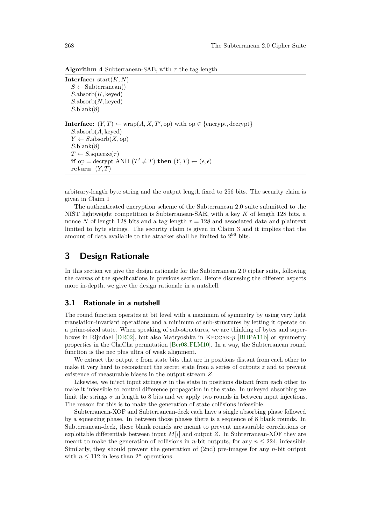<span id="page-6-1"></span>**Algorithm 4** Subterranean-SAE, with *τ* the tag length

**Interface:** start(*K, N*)  $S \leftarrow$  Subterranean() *S.*absorb(*K,* keyed) *S.*absorb(*N,* keyed) *S.*blank(8) **Interface:**  $(Y, T) \leftarrow \text{wrap}(A, X, T', \text{op})$  with  $\text{op} \in \{\text{encrypt}, \text{decrypt}\}\$ *S.*absorb(*A,* keyed)  $Y \leftarrow S$ .absorb $(X, op)$ *S.*blank(8)  $T \leftarrow S$ .squeeze( $\tau$ ) **if** op = decrypt AND  $(T' \neq T)$  **then**  $(Y, T) \leftarrow (\epsilon, \epsilon)$ **return**  $(Y, T)$ 

arbitrary-length byte string and the output length fixed to 256 bits. The security claim is given in Claim [1](#page-4-2)

The authenticated encryption scheme of the Subterranean 2.0 suite submitted to the NIST lightweight competition is Subterranean-SAE, with a key *K* of length 128 bits, a nonce *N* of length 128 bits and a tag length  $\tau = 128$  and associated data and plaintext limited to byte strings. The security claim is given in Claim [3](#page-5-3) and it implies that the amount of data available to the attacker shall be limited to  $2^{96}$  bits.

# <span id="page-6-0"></span>**3 Design Rationale**

In this section we give the design rationale for the Subterranean 2.0 cipher suite, following the canvas of the specifications in previous section. Before discussing the different aspects more in-depth, we give the design rationale in a nutshell.

#### **3.1 Rationale in a nutshell**

The round function operates at bit level with a maximum of symmetry by using very light translation-invariant operations and a minimum of sub-structures by letting it operate on a prime-sized state. When speaking of sub-structures, we are thinking of bytes and superboxes in Rijndael [\[DR02\]](#page-24-6), but also Matryoshka in Keccak-*p* [\[BDPA11b\]](#page-23-5) or symmetry properties in the ChaCha permutation [\[Ber08,](#page-23-6)[FLM10\]](#page-24-7). In a way, the Subterranean round function is the nec plus ultra of weak alignment.

We extract the output *z* from state bits that are in positions distant from each other to make it very hard to reconstruct the secret state from a series of outputs *z* and to prevent existence of measurable biases in the output stream *Z*.

Likewise, we inject input strings  $\sigma$  in the state in positions distant from each other to make it infeasible to control difference propagation in the state. In unkeyed absorbing we limit the strings  $\sigma$  in length to 8 bits and we apply two rounds in between input injections. The reason for this is to make the generation of state collisions infeasible.

Subterranean-XOF and Subterranean-deck each have a single absorbing phase followed by a squeezing phase. In between those phases there is a sequence of 8 blank rounds. In Subterranean-deck, these blank rounds are meant to prevent measurable correlations or exploitable differentials between input *M*[*i*] and output *Z*. In Subterranean-XOF they are meant to make the generation of collisions in *n*-bit outputs, for any  $n \leq 224$ , infeasible. Similarly, they should prevent the generation of (2nd) pre-images for any *n*-bit output with  $n \leq 112$  in less than  $2^n$  operations.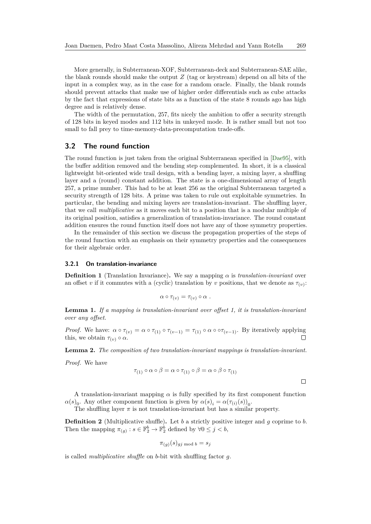More generally, in Subterranean-XOF, Subterranean-deck and Subterranean-SAE alike, the blank rounds should make the output *Z* (tag or keystream) depend on all bits of the input in a complex way, as in the case for a random oracle. Finally, the blank rounds should prevent attacks that make use of higher order differentials such as cube attacks by the fact that expressions of state bits as a function of the state 8 rounds ago has high degree and is relatively dense.

The width of the permutation, 257, fits nicely the ambition to offer a security strength of 128 bits in keyed modes and 112 bits in unkeyed mode. It is rather small but not too small to fall prey to time-memory-data-precomputation trade-offs.

## **3.2 The round function**

The round function is just taken from the original Subterranean specified in [\[Dae95\]](#page-23-1), with the buffer addition removed and the bending step complemented. In short, it is a classical lightweight bit-oriented wide trail design, with a bending layer, a mixing layer, a shuffling layer and a (round) constant addition. The state is a one-dimensional array of length 257, a prime number. This had to be at least 256 as the original Subterranean targeted a security strength of 128 bits. A prime was taken to rule out exploitable symmetries. In particular, the bending and mixing layers are translation-invariant. The shuffling layer, that we call *multiplicative* as it moves each bit to a position that is a modular multiple of its original position, satisfies a generalization of translation-invariance. The round constant addition ensures the round function itself does not have any of those symmetry properties.

In the remainder of this section we discuss the propagation properties of the steps of the round function with an emphasis on their symmetry properties and the consequences for their algebraic order.

#### <span id="page-7-1"></span>**3.2.1 On translation-invariance**

**Definition 1** (Translation Invariance). We say a mapping  $\alpha$  is *translation-invariant* over an offset *v* if it commutes with a (cyclic) translation by *v* positions, that we denote as  $\tau_{(v)}$ :

$$
\alpha \circ \tau_{(v)} = \tau_{(v)} \circ \alpha \; .
$$

**Lemma 1.** *If a mapping is translation-invariant over offset 1, it is translation-invariant over any offset.*

*Proof.* We have:  $\alpha \circ \tau_{(v)} = \alpha \circ \tau_{(1)} \circ \tau_{(v-1)} = \tau_{(1)} \circ \alpha \circ \sigma_{(v-1)}$ . By iteratively applying  $\Box$ this, we obtain  $\tau_{(v)} \circ \alpha$ .

**Lemma 2.** *The composition of two translation-invariant mappings is translation-invariant.*

*Proof.* We have

$$
\tau_{(1)} \circ \alpha \circ \beta = \alpha \circ \tau_{(1)} \circ \beta = \alpha \circ \beta \circ \tau_{(1)}
$$

 $\Box$ 

A translation-invariant mapping  $\alpha$  is fully specified by its first component function  $\alpha(s)$ . Any other component function is given by  $\alpha(s)$ <sub>i</sub> =  $\alpha(\tau_{(i)}(s))$ <sub>0</sub>.

The shuffling layer  $\pi$  is not translation-invariant but has a similar property.

<span id="page-7-0"></span>**Definition 2** (Multiplicative shuffle)**.** Let *b* a strictly positive integer and *g* coprime to *b*. Then the mapping  $\pi_{(g)}: s \in \mathbb{F}_2^b \to \mathbb{F}_2^b$  defined by  $\forall 0 \leq j < b$ ,

$$
\pi_{(g)}(s)_{gj \bmod b} = s_j
$$

is called *multiplicative shuffle* on *b*-bit with shuffling factor *g*.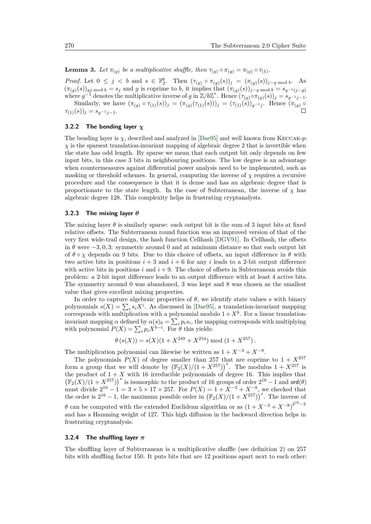$\Box$ 

**Lemma 3.** Let  $\pi_{(g)}$  be a multiplicative shuffle, then  $\tau_{(g)} \circ \pi_{(g)} = \pi_{(g)} \circ \tau_{(1)}$ .

*Proof.* Let  $0 \leq j < b$  and  $s \in \mathbb{F}_2^b$ . Then  $(\tau_{(g)} \circ \pi_{(g)}(s))_j = (\pi_{(g)}(s))_{j-g \text{ mod } b}$ . As  $(\pi_{(g)}(s))_{g_j \text{ mod } b} = s_j$  and g is coprime to b, it implies that  $(\pi_{(g)}(s))_{j-g \text{ mod } b} = s_{g^{-1}(j-g)}$ where  $g^{-1}$  denotes the multiplicative inverse of *g* in  $\mathbb{Z}/b\mathbb{Z}^*$ . Hence  $(\tau_{(g)} \circ \pi_{(g)}(s))_j = s_{g^{-1}j-1}$ . Similarly, we have  $(\pi_{(g)} \circ \tau_{(1)}(s))_j = (\pi_{(g)}(\tau_{(1)}(s)))_j = (\tau_{(1)}(s))_{g^{-1}j}$ . Hence  $(\pi_{(g)} \circ$ 

#### **3.2.2 The bending layer** *χ*

 $\tau_{(1)}(s)$ )<sub>*j*</sub> =  $s_{q-1}$ <sub>*j*−1</sub>.

The bending layer is *χ*, described and analyzed in [\[Dae95\]](#page-23-1) and well known from Keccak-*p*.  $\chi$  is the sparsest translation-invariant mapping of algebraic degree 2 that is invertible when the state has odd length. By sparse we mean that each output bit only depends on few input bits, in this case 3 bits in neighbouring positions. The low degree is an advantage when countermeasures against differential power analysis need to be implemented, such as masking or threshold schemes. In general, computing the inverse of *χ* requires a recursive procedure and the consequence is that it is dense and has an algebraic degree that is proportionate to the state length. In the case of Subterranean, the inverse of  $\chi$  has algebraic degree 128. This complexity helps in frustrating cryptanalysts.

#### <span id="page-8-0"></span>**3.2.3 The mixing layer** *θ*

The mixing layer  $\theta$  is similarly sparse: each output bit is the sum of 3 input bits at fixed relative offsets. The Subterranean round function was an improved version of that of the very first wide-trail design, the hash function Cellhash [\[DGV91\]](#page-23-7). In Cellhash, the offsets in  $\theta$  were  $-3, 0, 3$ : symmetric around 0 and at minimum distance so that each output bit of  $\theta \circ \chi$  depends on 9 bits. Due to this choice of offsets, an input difference in  $\theta$  with two active bits in positions  $i + 3$  and  $i + 6$  for any *i* leads to a 2-bit output difference with active bits in positions  $i$  and  $i + 9$ . The choice of offsets in Subterranean avoids this problem: a 2-bit input difference leads to an output difference with at least 4 active bits. The symmetry around 0 was abandoned, 3 was kept and 8 was chosen as the smallest value that gives excellent mixing properties.

In order to capture algebraic properties of *θ*, we identify state values *s* with binary polynomials  $s(X) = \sum_i s_i X^i$ . As discussed in [\[Dae95\]](#page-23-1), a translation-invariant mapping corresponds with multiplication with a polynomial modulo  $1 + X<sup>b</sup>$ . For a linear translationinvariant mapping *α* defined by  $\alpha(s)$ <sup>0</sup> =  $\sum_i p_i s_i$ , the mapping corresponds with multiplying with polynomial  $P(X) = \sum_{i} p_i X^{b-i}$ . For  $\theta$  this yields:

$$
\theta (s(X)) = s(X)(1 + X^{249} + X^{254}) \bmod (1 + X^{257}).
$$

The multiplication polynomial can likewise be written as  $1 + X^{-3} + X^{-8}$ .

The polynomials  $P(X)$  of degree smaller than 257 that are coprime to  $1 + X^{257}$ form a group that we will denote by  $(\mathbb{F}_2(X)/(1+X^{257}))^*$ . The modulus  $1+X^{257}$  is the product of  $1 + X$  with 16 irreducible polynomials of degree 16. This implies that  $(\mathbb{F}_2(X)/(1+X^{257}))^*$  is isomorphic to the product of 16 groups of order  $2^{16} - 1$  and  $\text{ord}(\theta)$ must divide  $2^{16} - 1 = 3 \times 5 \times 17 \times 257$ . For  $P(X) = 1 + X^{-3} + X^{-8}$ , we checked that the order is  $2^{16} - 1$ , the maximum possible order in  $(\mathbb{F}_2(X)/(1 + X^{257}))^*$ . The inverse of *θ* can be computed with the extended Euclidean algorithm or as  $(1 + X^{-3} + X^{-8})^{2^{16}-2}$ and has a Hamming weight of 127. This high diffusion in the backward direction helps in frustrating cryptanalysis.

#### **3.2.4 The shuffling layer** *π*

The shuffling layer of Subterranean is a multiplicative shuffle (see definition [2\)](#page-7-0) on 257 bits with shuffling factor 150. It puts bits that are 12 positions apart next to each other: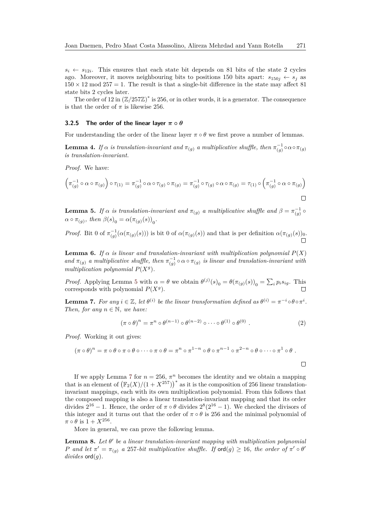$s_i \leftarrow s_{12i}$ . This ensures that each state bit depends on 81 bits of the state 2 cycles ago. Moreover, it moves neighbouring bits to positions 150 bits apart:  $s_{150j} \leftarrow s_j$  as  $150 \times 12 \text{ mod } 257 = 1$ . The result is that a single-bit difference in the state may affect 81 state bits 2 cycles later.

The order of 12 in  $(\mathbb{Z}/257\mathbb{Z})^*$  is 256, or in other words, it is a generator. The consequence is that the order of  $\pi$  is likewise 256.

#### **3.2.5** The order of the linear layer  $\pi \circ \theta$

For understanding the order of the linear layer  $\pi \circ \theta$  we first prove a number of lemmas.

**Lemma 4.** *If*  $\alpha$  *is translation-invariant and*  $\pi_{(g)}$  *a multiplicative shuffle, then*  $\pi_{(g)}^{-1} \circ \alpha \circ \pi_{(g)}$ *is translation-invariant.*

*Proof.* We have:

$$
\left(\pi_{(g)}^{-1}\circ\alpha\circ\pi_{(g)}\right)\circ\tau_{(1)}=\pi_{(g)}^{-1}\circ\alpha\circ\tau_{(g)}\circ\pi_{(g)}=\pi_{(g)}^{-1}\circ\tau_{(g)}\circ\alpha\circ\pi_{(g)}=\tau_{(1)}\circ\left(\pi_{(g)}^{-1}\circ\alpha\circ\pi_{(g)}\right)
$$

<span id="page-9-0"></span>**Lemma 5.** *If*  $\alpha$  *is translation-invariant and*  $\pi_{(g)}$  *a multiplicative shuffle and*  $\beta = \pi_{(g)}^{-1} \circ$  $\alpha \circ \pi_{(g)}, \text{ then } \beta(s)_0 = \alpha(\pi_{(g)}(s))_0.$ 

*Proof.* Bit 0 of  $\pi_{(g)}^{-1}(\alpha(\pi_{(g)}(s)))$  is bit 0 of  $\alpha(\pi_{(g)}(s))$  and that is per definition  $\alpha(\pi_{(g)}(s))_0$ .

**Lemma 6.** *If*  $\alpha$  *is linear and translation-invariant with multiplication polynomial*  $P(X)$ *and*  $\pi_{(g)}$  *a multiplicative shuffle, then*  $\pi_{(g)}^{-1} \circ \alpha \circ \pi_{(g)}$  *is linear and translation-invariant with multiplication polynomial*  $P(X<sup>g</sup>)$ *.* 

*Proof.* Applying Lemma [5](#page-9-0) with  $\alpha = \theta$  we obtain  $\theta^{(j)}(s)_0 = \theta(\pi_{(g)}(s))_0 = \sum_i p_i s_{ig}$ . This corresponds with polynomial  $P(X<sup>g</sup>)$ .

<span id="page-9-1"></span>**Lemma 7.** For any  $i \in \mathbb{Z}$ , let  $\theta^{(i)}$  be the linear transformation defined as  $\theta^{(i)} = \pi^{-i} \circ \theta \circ \pi^{i}$ . *Then, for any*  $n \in \mathbb{N}$ *, we have:* 

<span id="page-9-2"></span>
$$
(\pi \circ \theta)^n = \pi^n \circ \theta^{(n-1)} \circ \theta^{(n-2)} \circ \cdots \circ \theta^{(1)} \circ \theta^{(0)} .
$$
 (2)

*Proof.* Working it out gives:

$$
(\pi \circ \theta)^n = \pi \circ \theta \circ \pi \circ \theta \circ \cdots \circ \pi \circ \theta = \pi^n \circ \pi^{1-n} \circ \theta \circ \pi^{n-1} \circ \pi^{2-n} \circ \theta \circ \cdots \circ \pi^1 \circ \theta.
$$

If we apply Lemma [7](#page-9-1) for  $n = 256$ ,  $\pi^n$  becomes the identity and we obtain a mapping that is an element of  $(\mathbb{F}_2(X)/(1+X^{257}))^*$  as it is the composition of 256 linear translationinvariant mappings, each with its own multiplication polynomial. From this follows that the composed mapping is also a linear translation-invariant mapping and that its order divides  $2^{16} - 1$ . Hence, the order of  $\pi \circ \theta$  divides  $2^8(2^{16} - 1)$ . We checked the divisors of this integer and it turns out that the order of  $\pi \circ \theta$  is 256 and the minimal polynomial of  $\pi \circ \theta$  is  $1 + X^{256}$ .

More in general, we can prove the following lemma.

**Lemma 8.** Let  $θ'$  be a linear translation-invariant mapping with multiplication polynomial *P* and let  $\pi' = \pi_{(g)}$  a 257*-bit multiplicative shuffle. If*  $\text{ord}(g) \geq 16$ , the order of  $\pi' \circ \theta'$ *divides* ord(*g*)*.*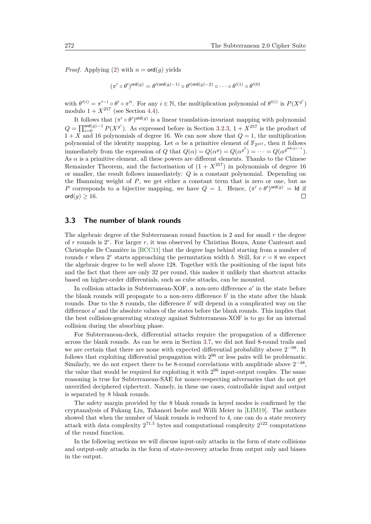*Proof.* Applying [\(2\)](#page-9-2) with  $n = \text{ord}(g)$  yields

$$
(\pi' \circ \theta')^{\mathrm{ord}(g)} = \theta'^{(\mathrm{ord}(g)-1)} \circ \theta'^{(\mathrm{ord}(g)-2)} \circ \cdots \circ \theta'^{(1)} \circ \theta'^{(0)}
$$

with  $\theta^{\prime(i)} = \pi^{\prime - i} \circ \theta^{\prime} \circ \pi^{\prime i}$ . For any  $i \in \mathbb{N}$ , the multiplication polynomial of  $\theta^{\prime(i)}$  is  $P(X^{\mathfrak{g}^i})$ modulo  $1 + X^{257}$  (see Section [4.4\)](#page-20-0).

It follows that  $(\pi' \circ \theta')^{\text{ord}(g)}$  is a linear translation-invariant mapping with polynomial  $Q = \prod_{i=0}^{ord(g)-1} P(X^{g^i})$ . As expressed before in Section [3.2.3,](#page-8-0)  $1 + X^{257}$  is the product of  $1 + X$  and 16 polynomials of degree 16. We can now show that  $Q = 1$ , the multiplication polynomial of the identity mapping. Let  $\alpha$  be a primitive element of  $\mathbb{F}_{2^{257}}$ , then it follows immediately from the expression of *Q* that  $Q(\alpha) = Q(\alpha^g) = Q(\alpha^{g^2}) = \cdots = Q(\alpha^{g^{\text{ord}(g)-1}})$ . As  $\alpha$  is a primitive element, all these powers are different elements. Thanks to the Chinese Remainder Theorem, and the factorisation of  $(1 + X^{257})$  in polynomials of degree 16 or smaller, the result follows immediately: *Q* is a constant polynomial. Depending on the Hamming weight of *P*, we get either a constant term that is zero or one, but as *P* corresponds to a bijective mapping, we have  $Q = 1$ . Hence,  $(\pi' \circ \theta')^{\text{ord}(g)} = \text{Id}$  if  $\Box$ ord $(g) \geq 16$ .

## **3.3 The number of blank rounds**

The algebraic degree of the Subterranean round function is 2 and for small *r* the degree of *r* rounds is 2 *r* . For larger *r*, it was observed by Christina Boura, Anne Canteaut and Christophe De Cannière in [\[BCC11\]](#page-22-4) that the degree lags behind starting from a number of rounds *r* when  $2^r$  starts approaching the permutation width *b*. Still, for  $r = 8$  we expect the algebraic degree to be well above 128. Together with the positioning of the input bits and the fact that there are only 32 per round, this makes it unlikely that shortcut attacks based on higher-order differentials, such as cube attacks, can be mounted.

In collision attacks in Subterranean-XOF, a non-zero difference  $a'$  in the state before the blank rounds will propagate to a non-zero difference  $b'$  in the state after the blank rounds. Due to the  $8$  rounds, the difference  $b'$  will depend in a complicated way on the difference  $a'$  and the absolute values of the states before the blank rounds. This implies that the best collision-generating strategy against Subterranean-XOF is to go for an internal collision during the absorbing phase.

For Subterranean-deck, differential attacks require the propagation of a difference across the blank rounds. As can be seen in Section [3.7,](#page-16-0) we did not find 8-round trails and we are certain that there are none with expected differential probability above  $2^{-98}$ . It follows that exploiting differential propagation with  $2^{96}$  or less pairs will be problematic. Similarly, we do not expect there to be 8-round correlations with amplitude above  $2^{-48}$ , the value that would be required for exploiting it with 2 <sup>96</sup> input-output couples. The same reasoning is true for Subterranean-SAE for nonce-respecting adversaries that do not get unverified deciphered ciphertext. Namely, in these use cases, controllable input and output is separated by 8 blank rounds.

The safety margin provided by the 8 blank rounds in keyed modes is confirmed by the cryptanalysis of Fukang Liu, Takanori Isobe and Willi Meier in [\[LIM19\]](#page-24-5). The authors showed that when the number of blank rounds is reduced to 4, one can do a state recovery attack with data complexity  $2^{71.5}$  bytes and computational complexity  $2^{122}$  computations of the round function.

In the following sections we will discuss input-only attacks in the form of state collisions and output-only attacks in the form of state-recovery attacks from output only and biases in the output.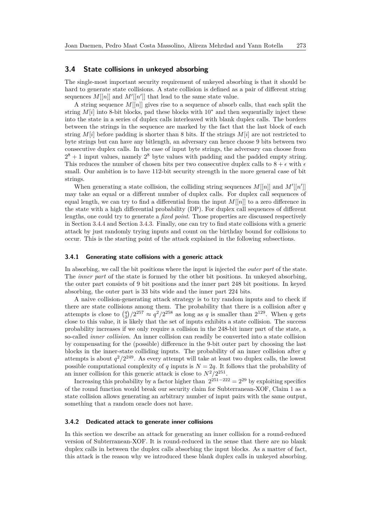#### <span id="page-11-0"></span>**3.4 State collisions in unkeyed absorbing**

The single-most important security requirement of unkeyed absorbing is that it should be hard to generate state collisions. A state collision is defined as a pair of different string sequences  $M[[n]]$  and  $M'[[n']]$  that lead to the same state value.

A string sequence  $M[[n]]$  gives rise to a sequence of absorb calls, that each split the string  $M[i]$  into 8-bit blocks, pad these blocks with 10<sup>∗</sup> and then sequentially inject these into the state in a series of duplex calls interleaved with blank duplex calls. The borders between the strings in the sequence are marked by the fact that the last block of each string  $M[i]$  before padding is shorter than 8 bits. If the strings  $M[i]$  are not restricted to byte strings but can have any bitlength, an adversary can hence choose 9 bits between two consecutive duplex calls. In the case of input byte strings, the adversary can choose from  $2^8 + 1$  input values, namely  $2^8$  byte values with padding and the padded empty string. This reduces the number of chosen bits per two consecutive duplex calls to  $8 + \epsilon$  with  $\epsilon$ small. Our ambition is to have 112-bit security strength in the more general case of bit strings.

When generating a state collision, the colliding string sequences  $M[[n]]$  and  $M'[[n']]$ may take an equal or a different number of duplex calls. For duplex call sequences of equal length, we can try to find a differential from the input  $M[[n]]$  to a zero difference in the state with a high differential probability (DP). For duplex call sequences of different lengths, one could try to generate a *fixed point*. Those properties are discussed respectively in Section [3.4.4](#page-14-0) and Section [3.4.3.](#page-13-0) Finally, one can try to find state collisions with a generic attack by just randomly trying inputs and count on the birthday bound for collisions to occur. This is the starting point of the attack explained in the following subsections.

#### **3.4.1 Generating state collisions with a generic attack**

In absorbing, we call the bit positions where the input is injected the *outer part* of the state. The *inner part* of the state is formed by the other bit positions. In unkeyed absorbing, the outer part consists of 9 bit positions and the inner part 248 bit positions. In keyed absorbing, the outer part is 33 bits wide and the inner part 224 bits.

A naive collision-generating attack strategy is to try random inputs and to check if there are state collisions among them. The probability that there is a collision after *q* attempts is close to  $\binom{q}{2}/2^{257} \approx q^2/2^{258}$  as long as *q* is smaller than  $2^{129}$ . When *q* gets close to this value, it is likely that the set of inputs exhibits a state collision. The success probability increases if we only require a collision in the 248-bit inner part of the state, a so-called *inner collision*. An inner collision can readily be converted into a state collision by compensating for the (possible) difference in the 9-bit outer part by choosing the last blocks in the inner-state colliding inputs. The probability of an inner collision after *q* attempts is about  $q^2/2^{249}$ . As every attempt will take at least two duplex calls, the lowest possible computational complexity of *q* inputs is  $N = 2q$ . It follows that the probability of an inner collision for this generic attack is close to  $N^2/2^{251}$ .

Increasing this probability by a factor higher than  $2^{251-222} = 2^{29}$  by exploiting specifics of the round function would break our security claim for Subterranean-XOF, Claim [1](#page-4-2) as a state collision allows generating an arbitrary number of input pairs with the same output, something that a random oracle does not have.

#### <span id="page-11-1"></span>**3.4.2 Dedicated attack to generate inner collisions**

In this section we describe an attack for generating an inner collision for a round-reduced version of Subterranean-XOF. It is round-reduced in the sense that there are no blank duplex calls in between the duplex calls absorbing the input blocks. As a matter of fact, this attack is the reason why we introduced these blank duplex calls in unkeyed absorbing.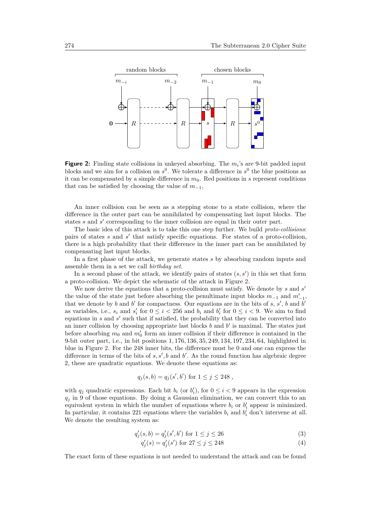<span id="page-12-0"></span>

**Figure 2:** Finding state collisions in unkeyed absorbing. The  $m_i$ 's are 9-bit padded input blocks and we aim for a collision on  $s^0$ . We tolerate a difference in  $s^0$  the blue positions as it can be compensated by a simple difference in  $m<sub>0</sub>$ . Red positions in *s* represent conditions that can be satisfied by choosing the value of  $m_{-1}$ ,

An inner collision can be seen as a stepping stone to a state collision, where the difference in the outer part can be annihilated by compensating last input blocks. The states *s* and *s'* corresponding to the inner collision are equal in their outer part.

The basic idea of this attack is to take this one step further. We build *proto-collisions*: pairs of states *s* and *s'* that satisfy specific equations. For states of a proto-collision, there is a high probability that their difference in the inner part can be annihilated by compensating last input blocks.

In a first phase of the attack, we generate states *s* by absorbing random inputs and assemble them in a set we call *birthday set*.

In a second phase of the attack, we identify pairs of states  $(s, s')$  in this set that form a proto-collision. We depict the schematic of the attack in Figure [2.](#page-12-0)

We now derive the equations that a proto-collision must satisfy. We denote by *s* and *s'* the value of the state just before absorbing the penultimate input blocks  $m_{-1}$  and  $m'_{-1}$ , that we denote by  $b$  and  $b'$  for compactness. Our equations are in the bits of  $s, s'$ ,  $b$  and  $b'$ as variables, i.e.,  $s_i$  and  $s'_i$  for  $0 \le i < 256$  and  $b_i$  and  $b'_i$  for  $0 \le i < 9$ . We aim to find equations in *s* and *s*' such that if satisfied, the probability that they can be converted into an inner collision by choosing appropriate last blocks  $b$  and  $b'$  is maximal. The states just before absorbing  $m_0$  and  $m'_0$  form an inner collision if their difference is contained in the 9-bit outer part, i.e., in bit positions 1*,* 176*,* 136*,* 35*,* 249*,* 134*,* 197*,* 234*,* 64, highlighted in blue in Figure [2.](#page-12-0) For the 248 inner bits, the difference must be 0 and one can express the difference in terms of the bits of  $s, s', b$  and  $b'$ . As the round function has algebraic degree 2, these are quadratic equations. We denote these equations as:

$$
q_j(s, b) = q_j(s', b')
$$
 for  $1 \le j \le 248$ ,

with  $q_j$  quadratic expressions. Each bit  $b_i$  (or  $b'_i$ ), for  $0 \leq i < 9$  appears in the expression  $q<sub>j</sub>$  in 9 of those equations. By doing a Gaussian elimination, we can convert this to an equivalent system in which the number of equations where  $b_i$  or  $b'_i$  appear is minimized. In particular, it contains 221 equations where the variables  $b_i$  and  $b'_i$  don't intervene at all. We denote the resulting system as:

<span id="page-12-1"></span>
$$
q_j'(s, b) = q_j'(s', b') \text{ for } 1 \le j \le 26
$$
 (3)

$$
q_j'(s) = q_j'(s') \text{ for } 27 \le j \le 248 \tag{4}
$$

The exact form of these equations is not needed to understand the attack and can be found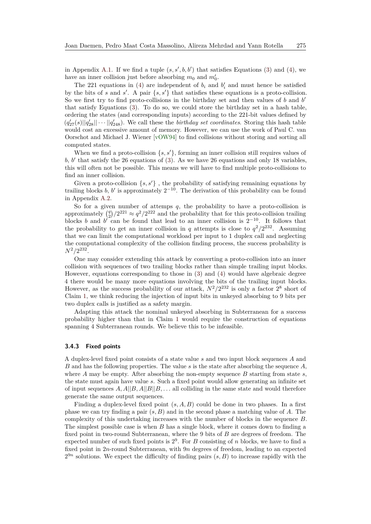in Appendix [A.1.](#page-25-1) If we find a tuple  $(s, s', b, b')$  that satisfies Equations [\(3\)](#page-12-1) and [\(4\)](#page-12-1), we have an inner collision just before absorbing  $m_0$  and  $m'_0$ .

The 221 equations in [\(4\)](#page-12-1) are independent of  $b_i$  and  $b'_i$  and must hence be satisfied by the bits of *s* and *s'*. A pair  $\{s, s'\}$  that satisfies these equations is a proto-collision. So we first try to find proto-collisions in the birthday set and then values of *b* and *b*<sup>'</sup> that satisfy Equations [\(3\)](#page-12-1). To do so, we could store the birthday set in a hash table, ordering the states (and corresponding inputs) according to the 221-bit values defined by  $(q'_{27}(s)||q'_{28}|| \cdots ||q'_{248})$ . We call these the *birthday set coordinates*. Storing this hash table would cost an excessive amount of memory. However, we can use the work of Paul C. van Oorschot and Michael J. Wiener [\[vOW94\]](#page-25-2) to find collisions without storing and sorting all computed states.

When we find a proto-collision  $\{s, s'\}$ , forming an inner collision still requires values of  $b, b'$  that satisfy the 26 equations of [\(3\)](#page-12-1). As we have 26 equations and only 18 variables, this will often not be possible. This means we will have to find multiple proto-collisions to find an inner collision.

Given a proto-collision  $\{s, s'\}$ , the probability of satisfying remaining equations by trailing blocks *b*, *b*' is approximately  $2^{-10}$ . The derivation of this probability can be found in Appendix [A.2.](#page-26-0)

So for a given number of attemps  $q$ , the probability to have a proto-collision is approximately  $\binom{q}{2}/2^{221} \approx q^2/2^{222}$  and the probability that for this proto-collision trailing blocks *b* and *b*<sup> $\overline{a}$ </sup> can be found that lead to an inner collision is  $2^{-10}$ . It follows that the probability to get an inner collision in *q* attempts is close to  $q^2/2^{232}$ . Assuming that we can limit the computational workload per input to 1 duplex call and neglecting the computational complexity of the collision finding process, the success probability is  $N^2/2^{232}$ .

One may consider extending this attack by converting a proto-collision into an inner collision with sequences of two trailing blocks rather than simple trailing input blocks. However, equations corresponding to those in [\(3\)](#page-12-1) and [\(4\)](#page-12-1) would have algebraic degree 4 there would be many more equations involving the bits of the trailing input blocks. However, as the success probability of our attack,  $N^2/2^{232}$  is only a factor  $2^8$  short of Claim [1,](#page-4-2) we think reducing the injection of input bits in unkeyed absorbing to 9 bits per two duplex calls is justified as a safety margin.

Adapting this attack the nominal unkeyed absorbing in Subterranean for a success probability higher than that in Claim [1](#page-4-2) would require the construction of equations spanning 4 Subterranean rounds. We believe this to be infeasible.

#### <span id="page-13-0"></span>**3.4.3 Fixed points**

A duplex-level fixed point consists of a state value *s* and two input block sequences *A* and *B* and has the following properties. The value *s* is the state after absorbing the sequence *A*, where  $A$  may be empty. After absorbing the non-empty sequence  $B$  starting from state  $s$ , the state must again have value *s*. Such a fixed point would allow generating an infinite set of input sequences  $A, A||B, A||B||B, \ldots$  all colliding in the same state and would therefore generate the same output sequences.

Finding a duplex-level fixed point (*s, A, B*) could be done in two phases. In a first phase we can try finding a pair (*s, B*) and in the second phase a matching value of *A*. The complexity of this undertaking increases with the number of blocks in the sequence *B*. The simplest possible case is when *B* has a single block, where it comes down to finding a fixed point in two-round Subterranean, where the 9 bits of *B* are degrees of freedom. The expected number of such fixed points is 2 9 . For *B* consisting of *n* blocks, we have to find a fixed point in 2*n*-round Subterranean, with 9*n* degrees of freedom, leading to an expected  $2^{9n}$  solutions. We expect the difficulty of finding pairs  $(s, B)$  to increase rapidly with the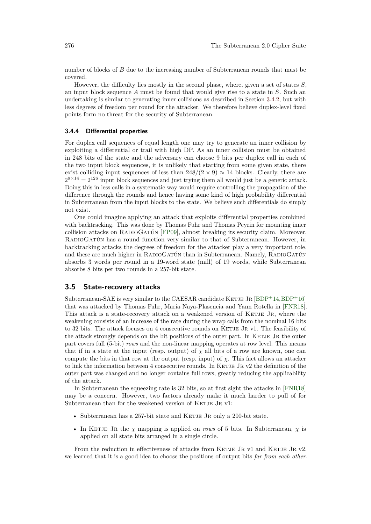number of blocks of *B* due to the increasing number of Subterranean rounds that must be covered.

However, the difficulty lies mostly in the second phase, where, given a set of states *S*, an input block sequence *A* must be found that would give rise to a state in *S*. Such an undertaking is similar to generating inner collisions as described in Section [3.4.2,](#page-11-1) but with less degrees of freedom per round for the attacker. We therefore believe duplex-level fixed points form no threat for the security of Subterranean.

#### <span id="page-14-0"></span>**3.4.4 Differential properties**

For duplex call sequences of equal length one may try to generate an inner collision by exploiting a differential or trail with high DP. As an inner collision must be obtained in 248 bits of the state and the adversary can choose 9 bits per duplex call in each of the two input block sequences, it is unlikely that starting from some given state, there exist colliding input sequences of less than  $248/(2 \times 9) \approx 14$  blocks. Clearly, there are  $2^{9 \times 14} = 2^{126}$  input block sequences and just trying them all would just be a generic attack. Doing this in less calls in a systematic way would require controlling the propagation of the difference through the rounds and hence having some kind of high probability differential in Subterranean from the input blocks to the state. We believe such differentials do simply not exist.

One could imagine applying an attack that exploits differential properties combined with backtracking. This was done by Thomas Fuhr and Thomas Peyrin for mounting inner collision attacks on RadioGatún [\[FP09\]](#page-24-8), almost breaking its security claim. Moreover, RadioGatún has a round function very similar to that of Subterranean. However, in backtracking attacks the degrees of freedom for the attacker play a very important role, and these are much higher in RADIOGATÚN than in Subterranean. Namely, RADIOGATÚN absorbs 3 words per round in a 19-word state (mill) of 19 words, while Subterranean absorbs 8 bits per two rounds in a 257-bit state.

#### **3.5 State-recovery attacks**

Subterranean-SAE is very similar to the CAESAR candidate KETJE JR  $[BDP+14,BDP+16]$  $[BDP+14,BDP+16]$  $[BDP+14,BDP+16]$  $[BDP+14,BDP+16]$ that was attacked by Thomas Fuhr, Maria Naya-Plasencia and Yann Rotella in [\[FNR18\]](#page-24-9). This attack is a state-recovery attack on a weakened version of KETJE JR, where the weakening consists of an increase of the rate during the wrap calls from the nominal 16 bits to 32 bits. The attack focuses on 4 consecutive rounds on KETJE JR v1. The feasibility of the attack strongly depends on the bit positions of the outer part. In KETJE JR the outer part covers full (5-bit) *rows* and the non-linear mapping operates at row level. This means that if in a state at the input (resp. output) of  $\chi$  all bits of a row are known, one can compute the bits in that row at the output (resp. input) of  $\chi$ . This fact allows an attacker to link the information between 4 consecutive rounds. In KETJE JR v2 the definition of the outer part was changed and no longer contains full rows, greatly reducing the applicability of the attack.

In Subterranean the squeezing rate is 32 bits, so at first sight the attacks in [\[FNR18\]](#page-24-9) may be a concern. However, two factors already make it much harder to pull of for Subterranean than for the weakened version of KETJE JR v1:

- Subterranean has a 257-bit state and KETJE JR only a 200-bit state.
- In KETJE JR the  $\chi$  mapping is applied on *rows* of 5 bits. In Subterranean,  $\chi$  is applied on all state bits arranged in a single circle.

From the reduction in effectiveness of attacks from KETJE JR v1 and KETJE JR v2, we learned that it is a good idea to choose the positions of output bits *far from each other*.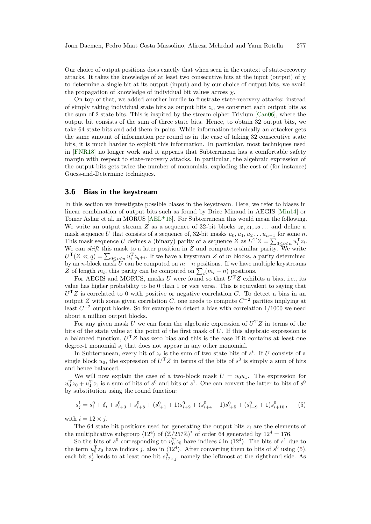Our choice of output positions does exactly that when seen in the context of state-recovery attacks. It takes the knowledge of at least two consecutive bits at the input (output) of  $\chi$ to determine a single bit at its output (input) and by our choice of output bits, we avoid the propagation of knowledge of individual bit values across *χ*.

On top of that, we added another hurdle to frustrate state-recovery attacks: instead of simply taking individual state bits as output bits  $z_i$ , we construct each output bits as the sum of 2 state bits. This is inspired by the stream cipher Trivium [\[Can06\]](#page-23-8), where the output bit consists of the sum of three state bits. Hence, to obtain 32 output bits, we take 64 state bits and add them in pairs. While information-technically an attacker gets the same amount of information per round as in the case of taking 32 consecutive state bits, it is much harder to exploit this information. In particular, most techniques used in [\[FNR18\]](#page-24-9) no longer work and it appears that Subterranean has a comfortable safety margin with respect to state-recovery attacks. In particular, the algebraic expression of the output bits gets twice the number of monomials, exploding the cost of (for instance) Guess-and-Determine techniques.

#### **3.6 Bias in the keystream**

In this section we investigate possible biases in the keystream. Here, we refer to biases in linear combination of output bits such as found by Brice Minaud in AEGIS [\[Min14\]](#page-24-10) or Tomer Ashur et al. in MORUS [\[AEL](#page-22-7)<sup>+18]</sup>. For Subterranean this would mean the following. We write an output stream *Z* as a sequence of 32-bit blocks  $z_0, z_1, z_2, \ldots$  and define a mask sequence *U* that consists of a sequence of, 32-bit masks  $u_0, u_1, u_2 \ldots u_{n-1}$  for some *n*. This mask sequence *U* defines a (binary) parity of a sequence *Z* as  $U<sup>T</sup>Z = \sum_{0 \le i \le n} u_i<sup>T</sup>z_i$ . We can *shift* this mask to a later position in *Z* and compute a similar parity. We write  $U^{\mathrm{T}}(Z \ll q) = \sum_{0 \leq i < n} u_i^{\mathrm{T}} z_{q+i}$ . If we have a keystream *Z* of *m* blocks, a parity determined by an *n*-block mask  $U$  can be computed on  $m - n$  positions. If we have multiple keystreams *Z* of length  $m_i$ , this parity can be computed on  $\sum_i (m_i - n)$  positions.

For AEGIS and MORUS, masks *U* were found so that *U* <sup>T</sup>*Z* exhibits a bias, i.e., its value has higher probability to be 0 than 1 or vice versa. This is equivalent to saying that *U* <sup>T</sup>*Z* is correlated to 0 with positive or negative correlation *C*. To detect a bias in an output *Z* with some given correlation *C*, one needs to compute  $C^{-2}$  parities implying at least *C* <sup>−</sup><sup>2</sup> output blocks. So for example to detect a bias with correlation 1*/*1000 we need about a million output blocks.

For any given mask *U* we can form the algebraic expression of  $U<sup>T</sup>Z$  in terms of the bits of the state value at the point of the first mask of *U*. If this algebraic expression is a balanced function, *U* <sup>T</sup>*Z* has zero bias and this is the case If it contains at least one degree-1 monomial *s<sup>i</sup>* that does not appear in any other monomial.

In Subterranean, every bit of  $z_t$  is the sum of two state bits of  $s^t$ . If *U* consists of a single block  $u_0$ , the expression of  $U^T Z$  in terms of the bits of  $s^0$  is simply a sum of bits and hence balanced.

We will now explain the case of a two-block mask  $U = u_0 u_1$ . The expression for  $u_0^T z_0 + u_1^T z_1$  is a sum of bits of  $s^0$  and bits of  $s^1$ . One can convert the latter to bits of  $s^0$ by substitution using the round function:

<span id="page-15-0"></span>
$$
s_j^1 = s_i^0 + \delta_i + s_{i+3}^0 + s_{i+8}^0 + (s_{i+1}^0 + 1)s_{i+2}^0 + (s_{i+4}^0 + 1)s_{i+5}^0 + (s_{i+9}^0 + 1)s_{i+10}^0, \tag{5}
$$

with  $i = 12 \times j$ .

The 64 state bit positions used for generating the output bits  $z_i$  are the elements of the multiplicative subgroup  $\langle 12^4 \rangle$  of  $(\mathbb{Z}/257\mathbb{Z})^*$  of order 64 generated by  $12^4 = 176$ .

So the bits of  $s^0$  corresponding to  $u_0^T z_0$  have indices *i* in  $\langle 12^4 \rangle$ . The bits of  $s^1$  due to the term  $u_0^T z_0$  have indices *j*, also in  $\langle 12^4 \rangle$ . After converting them to bits of  $s^0$  using [\(5\)](#page-15-0), each bit  $s_j^1$  leads to at least one bit  $s_{12 \times j}^0$ , namely the leftmost at the righthand side. As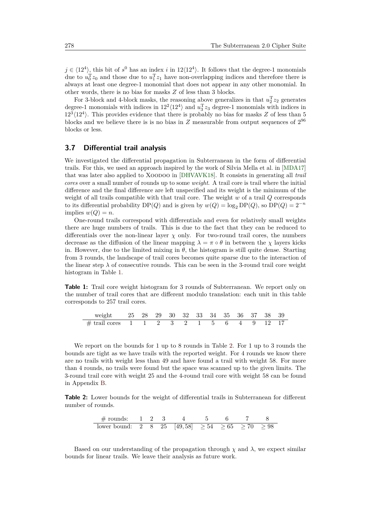$j \in \langle 12^4 \rangle$ , this bit of  $s^0$  has an index *i* in 12 $\langle 12^4 \rangle$ . It follows that the degree-1 monomials due to  $u_0^T z_0$  and those due to  $u_1^T z_1$  have non-overlapping indices and therefore there is always at least one degree-1 monomial that does not appear in any other monomial. In other words, there is no bias for masks *Z* of less than 3 blocks.

For 3-block and 4-block masks, the reasoning above generalizes in that  $u_2^T z_2$  generates degree-1 monomials with indices in  $12^2 \langle 12^4 \rangle$  and  $u_3^T z_3$  degree-1 monomials with indices in  $12^{3}\langle12^{4}\rangle$ . This provides evidence that there is probably no bias for masks *Z* of less than 5 blocks and we believe there is is no bias in  $Z$  measurable from output sequences of  $2^{96}$ blocks or less.

### <span id="page-16-0"></span>**3.7 Differential trail analysis**

We investigated the differential propagation in Subterranean in the form of differential trails. For this, we used an approach inspired by the work of Silvia Mella et al. in [\[MDA17\]](#page-24-11) that was later also applied to Xoodoo in [\[DHVAVK18\]](#page-24-0). It consists in generating all *trail cores* over a small number of rounds up to some *weight*. A trail core is trail where the initial difference and the final difference are left unspecified and its weight is the minimum of the weight of all trails compatible with that trail core. The weight *w* of a trail *Q* corresponds to its differential probability  $DP(Q)$  and is given by  $w(Q) = \log_2 DP(Q)$ , so  $DP(Q) = 2^{-n}$  $implies w(Q) = n$ .

One-round trails correspond with differentials and even for relatively small weights there are huge numbers of trails. This is due to the fact that they can be reduced to differentials over the non-linear layer  $\chi$  only. For two-round trail cores, the numbers decrease as the diffusion of the linear mapping  $\lambda = \pi \circ \theta$  in between the *χ* layers kicks in. However, due to the limited mixing in  $\theta$ , the histogram is still quite dense. Starting from 3 rounds, the landscape of trail cores becomes quite sparse due to the interaction of the linear step  $\lambda$  of consecutive rounds. This can be seen in the 3-round trail core weight histogram in Table [1.](#page-16-1)

<span id="page-16-1"></span>**Table 1:** Trail core weight histogram for 3 rounds of Subterranean. We report only on the number of trail cores that are different modulo translation: each unit in this table corresponds to 257 trail cores.

| weight 25 28 29 30 32 33 34 35 36 37 38 39                                                           |  |  |  |  |  |  |
|------------------------------------------------------------------------------------------------------|--|--|--|--|--|--|
| # trail cores $\begin{array}{ccccccccc} 1 & 1 & 2 & 3 & 2 & 1 & 5 & 6 & 4 & 9 & 12 & 17 \end{array}$ |  |  |  |  |  |  |

We report on the bounds for 1 up to 8 rounds in Table [2.](#page-16-2) For 1 up to 3 rounds the bounds are tight as we have trails with the reported weight. For 4 rounds we know there are no trails with weight less than 49 and have found a trail with weight 58. For more than 4 rounds, no trails were found but the space was scanned up to the given limits. The 3-round trail core with weight 25 and the 4-round trail core with weight 58 can be found in Appendix [B.](#page-27-0)

<span id="page-16-2"></span>**Table 2:** Lower bounds for the weight of differential trails in Subterranean for different number of rounds.

| # rounds:    | 1 | 2 | 3  | 4       | 5         | 6         | 7         | 8         |
|--------------|---|---|----|---------|-----------|-----------|-----------|-----------|
| lower bound: | 2 | 8 | 25 | [49,58] | $\geq$ 54 | $\geq$ 65 | $\geq$ 70 | $\geq$ 98 |

Based on our understanding of the propagation through  $\chi$  and  $\lambda$ , we expect similar bounds for linear trails. We leave their analysis as future work.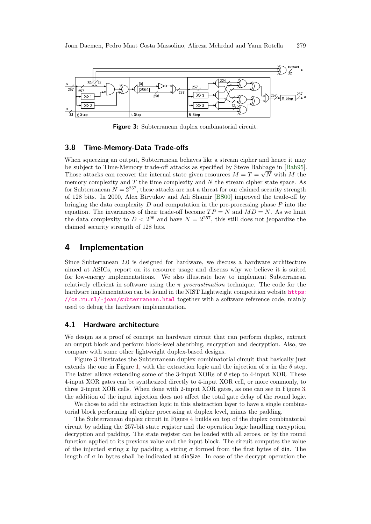<span id="page-17-1"></span>

**Figure 3:** Subterranean duplex combinatorial circuit.

#### **3.8 Time-Memory-Data Trade-offs**

When squeezing an output, Subterranean behaves like a stream cipher and hence it may be subject to Time-Memory trade-off attacks as specified by Steve Babbage in [\[Bab95\]](#page-22-8). Those attacks can recover the internal state given resources  $M = T = \sqrt{N}$  with M the memory complexity and *T* the time complexity and *N* the stream cipher state space. As for Subterranean  $N = 2^{257}$ , these attacks are not a threat for our claimed security strength of 128 bits. In 2000, Alex Biryukov and Adi Shamir [\[BS00\]](#page-23-9) improved the trade-off by bringing the data complexity *D* and computation in the pre-processing phase *P* into the equation. The invariances of their trade-off become  $TP = N$  and  $MD = N$ . As we limit the data complexity to  $D < 2^{96}$  and have  $N = 2^{257}$ , this still does not jeopardize the claimed security strength of 128 bits.

## <span id="page-17-0"></span>**4 Implementation**

Since Subterranean 2.0 is designed for hardware, we discuss a hardware architecture aimed at ASICs, report on its resource usage and discuss why we believe it is suited for low-energy implementations. We also illustrate how to implement Subterranean relatively efficient in software using the *π procrastination* technique. The code for the hardware implementation can be found in the NIST Lightweight competition website [https:](https://cs.ru.nl/~joan/subterranean.html)  $//cs.ru.nl/~joan/subterranean.html$  together with a software reference code, mainly used to debug the hardware implementation.

#### **4.1 Hardware architecture**

We design as a proof of concept an hardware circuit that can perform duplex, extract an output block and perform block-level absorbing, encryption and decryption. Also, we compare with some other lightweight duplex-based designs.

Figure [3](#page-17-1) illustrates the Subterranean duplex combinatorial circuit that basically just extends the one in Figure [1,](#page-2-1) with the extraction logic and the injection of x in the  $\theta$  step. The latter allows extending some of the 3-input XORs of *θ* step to 4-input XOR. These 4-input XOR gates can be synthesized directly to 4-input XOR cell, or more commonly, to three 2-input XOR cells. When done with 2-input XOR gates, as one can see in Figure [3,](#page-17-1) the addition of the input injection does not affect the total gate delay of the round logic.

We chose to add the extraction logic in this abstraction layer to have a single combinatorial block performing all cipher processing at duplex level, minus the padding.

The Subterranean duplex circuit in Figure [4](#page-18-0) builds on top of the duplex combinatorial circuit by adding the 257-bit state register and the operation logic handling encryption, decryption and padding. The state register can be loaded with all zeroes, or by the round function applied to its previous value and the input block. The circuit computes the value of the injected string *x* by padding a string  $\sigma$  formed from the first bytes of din. The length of  $\sigma$  in bytes shall be indicated at **dinSize**. In case of the decrypt operation the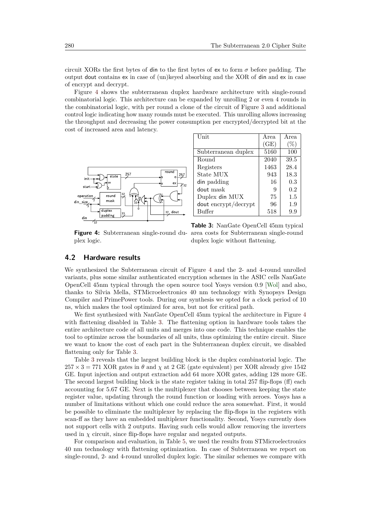circuit XORs the first bytes of din to the first bytes of ex to form  $\sigma$  before padding. The output dout contains ex in case of (un)keyed absorbing and the XOR of din and ex in case of encrypt and decrypt.

Figure [4](#page-18-0) shows the subterranean duplex hardware architecture with single-round combinatorial logic. This architecture can be expanded by unrolling 2 or even 4 rounds in the combinatorial logic, with per round a clone of the circuit of Figure [3](#page-17-1) and additional control logic indicating how many rounds must be executed. This unrolling allows increasing the throughput and decreasing the power consumption per encrypted/decrypted bit at the cost of increased area and latency.



| Unit                 | Area | Area   |
|----------------------|------|--------|
|                      | (GE) | $(\%)$ |
| Subterranean duplex  | 5160 | 100    |
| Round                | 2040 | 39.5   |
| Registers            | 1463 | 28.4   |
| State MUX            | 943  | 18.3   |
| din padding          | 16   | 0.3    |
| dout mask            | 9    | 0.2    |
| Duplex din MUX       | 75   | 1.5    |
| dout encrypt/decrypt | 96   | 1.9    |
| Buffer               | 518  | 9.9    |

<span id="page-18-0"></span>**Figure 4:** Subterranean single-round du-area costs for Subterranean single-round plex logic.

<span id="page-18-1"></span>**Table 3:** NanGate OpenCell 45nm typical duplex logic without flattening.

## **4.2 Hardware results**

We synthesized the Subterranean circuit of Figure [4](#page-18-0) and the 2- and 4-round unrolled variants, plus some similar authenticated encryption schemes in the ASIC cells NanGate OpenCell 45nm typical through the open source tool Yosys version 0.9 [\[Wol\]](#page-25-3) and also, thanks to Silvia Mella, STMicroelectronics 40 nm technology with Synopsys Design Compiler and PrimePower tools. During our synthesis we opted for a clock period of 10 ns, which makes the tool optimized for area, but not for critical path.

We first synthesized with NanGate OpenCell 45nm typical the architecture in Figure [4](#page-18-0) with flattening disabled in Table [3.](#page-18-1) The flattening option in hardware tools takes the entire architecture code of all units and merges into one code. This technique enables the tool to optimize across the boundaries of all units, thus optimizing the entire circuit. Since we want to know the cost of each part in the Subterranean duplex circuit, we disabled flattening only for Table [3.](#page-18-1)

Table [3](#page-18-1) reveals that the largest building block is the duplex combinatorial logic. The  $257 \times 3 = 771$  XOR gates in  $\theta$  and  $\chi$  at 2 GE (gate equivalent) per XOR already give 1542 GE. Input injection and output extraction add 64 more XOR gates, adding 128 more GE. The second largest building block is the state register taking in total 257 flip-flops (ff) each accounting for 5.67 GE. Next is the multiplexer that chooses between keeping the state register value, updating through the round function or loading with zeroes. Yosys has a number of limitations without which one could reduce the area somewhat. First, it would be possible to eliminate the multiplexer by replacing the flip-flops in the registers with scan-ff as they have an embedded multiplexer functionality. Second, Yosys currently does not support cells with 2 outputs. Having such cells would allow removing the inverters used in  $\chi$  circuit, since flip-flops have regular and negated outputs.

For comparison and evaluation, in Table [5,](#page-19-0) we used the results from STMicroelectronics 40 nm technology with flattening optimization. In case of Subterranean we report on single-round, 2- and 4-round unrolled duplex logic. The similar schemes we compare with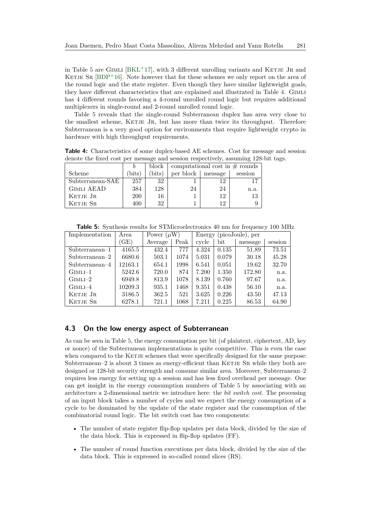in Table [5](#page-19-0) are GIMLI  $[BKL+17]$  $[BKL+17]$ , with 3 different unrolling variants and KETJE JR and KETJE SR  $[BDP+16]$  $[BDP+16]$ . Note however that for these schemes we only report on the area of the round logic and the state register. Even though they have similar lightweight goals, they have different characteristics that are explained and illustrated in Table [4.](#page-19-1) Gimli has 4 different rounds favoring a 4-round unrolled round logic but requires additional multiplexers in single-round and 2-round unrolled round logic.

Table [5](#page-19-0) reveals that the single-round Subterranean duplex has area very close to the smallest scheme, KETJE JR, but has more than twice its throughput. Therefore Subterranean is a very good option for environments that require lightweight crypto in hardware with high throughput requirements.

<span id="page-19-1"></span>**Table 4:** Characteristics of some duplex-based AE schemes. Cost for message and session denote the fixed cost per message and session respectively, assuming 128-bit tags.

|                   |            | block  | computational cost in $\#$ rounds |         |         |
|-------------------|------------|--------|-----------------------------------|---------|---------|
| Scheme            | bits)      | (bits) | per block                         | message | session |
| Subterranean-SAE  | 257        | 32     |                                   | 12      | 17      |
| <b>GIMLI AEAD</b> | 384        | 128    | 24                                | 24      | n.a.    |
| KETJE JR          | <b>200</b> | 16     |                                   | 12      | 13      |
| KETJE SR          | 400        | 32     |                                   | 12      |         |

**Table 5:** Synthesis results for STMicroelectronics 40 nm for frequency 100 MHz

<span id="page-19-0"></span>

| Implementation  | Power $(\mu W)$<br>Area |         |      | Energy |              |         |         |
|-----------------|-------------------------|---------|------|--------|--------------|---------|---------|
|                 | (GE)                    | Average | Peak | cycle  | $_{\rm bit}$ | message | session |
| $Subternmean-1$ | 4165.5                  | 432.4   | 777  | 4.324  | 0.135        | 51.89   | 73.51   |
| $Subternmean-2$ | 6680.6                  | 503.1   | 1074 | 5.031  | 0.079        | 30.18   | 45.28   |
| $Subternmean-4$ | 12163.1                 | 654.1   | 1998 | 6.541  | 0.051        | 19.62   | 32.70   |
| $GIMLI-1$       | 5242.6                  | 720.0   | 874  | 7.200  | 1.350        | 172.80  | n.a.    |
| $G$ IMLI $-2$   | 6949.8                  | 813.9   | 1078 | 8.139  | 0.760        | 97.67   | n.a.    |
| $GIMLI-4$       | 10209.3                 | 935.1   | 1468 | 9.351  | 0.438        | 56.10   | n.a.    |
| KETJE JR        | 3186.5                  | 362.5   | 521  | 3.625  | 0.226        | 43.50   | 47.13   |
| KETJE SR        | 6278.1                  | 721.1   | 1068 | 7.211  | 0.225        | 86.53   | 64.90   |

### **4.3 On the low energy aspect of Subterranean**

As can be seen in Table [5,](#page-19-0) the energy consumption per bit (of plaintext, ciphertext, AD, key or nonce) of the Subterranean implementations is quite competitive. This is even the case when compared to the KETJE schemes that were specifically designed for the same purpose: Subterranean– $2$  is about 3 times as energy-efficient than KETJE SR while they both are designed or 128-bit security strength and consume similar area. Moreover, Subterranean–2 requires less energy for setting up a session and has less fixed overhead per message. One can get insight in the energy consumption numbers of Table [5](#page-19-0) by associating with an architecture a 2-dimensional metric we introduce here: the *bit switch cost*. The processing of an input block takes a number of cycles and we expect the energy consumption of a cycle to be dominated by the update of the state register and the consumption of the combinatorial round logic. The bit switch cost has two components:

- The number of state register flip-flop updates per data block, divided by the size of the data block. This is expressed in flip-flop updates (FF).
- The number of round function executions per data block, divided by the size of the data block. This is expressed in so-called round slices (RS).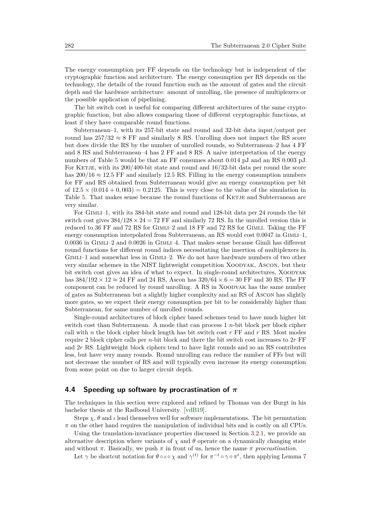The energy consumption per FF depends on the technology but is independent of the cryptographic function and architecture. The energy consumption per RS depends on the technology, the details of the round function such as the amount of gates and the circuit depth and the hardware architecture: amount of unrolling, the presence of multiplexers or the possible application of pipelining.

The bit switch cost is useful for comparing different architectures of the same cryptographic function, but also allows comparing those of different cryptographic functions, at least if they have comparable round functions.

Subterranean–1, with its 257-bit state and round and 32-bit data input/output per round has  $257/32 \approx 8$  FF and similarly 8 RS. Unrolling does not impact the RS score but does divide the RS by the number of unrolled rounds, so Subterranean–2 has 4 FF and 8 RS and Subterranean–4 has 2 FF and 8 RS. A naive interpretation of the energy numbers of Table [5](#page-19-0) would be that an FF consumes about 0*.*014 pJ and an RS 0*.*003 pJ. For KETJE, with its  $200/400$ -bit state and round and  $16/32$ -bit data per round the score has  $200/16 \approx 12.5$  FF and similarly 12.5 RS. Filling in the energy consumption numbers for FF and RS obtained from Subterranean would give an energy consumption per bit of  $12.5 \times (0.014 + 0.003) = 0.2125$ . This is very close to the value of the simulation in Table [5.](#page-19-0) That makes sense because the round functions of KETJE and Subterranean are very similar.

For GIMLI–1, with its 384-bit state and round and 128-bit data per 24 rounds the bit switch cost gives  $384/128 \times 24 = 72$  FF and similarly 72 RS. In the unrolled version this is reduced to 36 FF and 72 RS for Gimli–2 and 18 FF and 72 RS for Gimli. Taking the FF energy consumption interpolated from Subterranean, an RS would cost  $0.0047$  in GIMLI-1, 0*.*0036 in Gimli–2 and 0*.*0026 in Gimli–4. That makes sense because Gimli has different round functions for different round indices necessitating the insertion of multiplexers in Gimli–1 and somewhat less in Gimli–2. We do not have hardware numbers of two other very similar schemes in the NIST lightweight competition Xoodyak, Ascon, but their bit switch cost gives an idea of what to expect. In single-round architectures, XOODYAK has  $384/192 \times 12 \approx 24$  FF and 24 RS, Ascon has  $320/64 \times 6 = 30$  FF and 30 RS. The FF component can be reduced by round unrolling. A RS in Xoodyak has the same number of gates as Subterranean but a slightly higher complexity and an RS of Ascon has slightly more gates, so we expect their energy consumption per bit to be considerably higher than Subterranean, for same number of unrolled rounds.

Single-round architectures of block cipher based schemes tend to have much higher bit switch cost than Subterranean. A mode that can process 1 *n*-bit block per block cipher call with *n* the block cipher block length has bit switch cost *r* FF and *r* RS. Most modes require 2 block cipher calls per *n*-bit block and there the bit switch cost increases to 2*r* FF and 2*r* RS. Lightweight block ciphers tend to have light rounds and so an RS contributes less, but have very many rounds. Round unrolling can reduce the number of FFs but will not decrease the number of RS and will typically even increase its energy consumption from some point on due to larger circuit depth.

#### <span id="page-20-0"></span>**4.4 Speeding up software by procrastination of** *π*

The techniques in this section were explored and refined by Thomas van der Burgt in his bachelor thesis at the Radboud University [\[vdB19\]](#page-24-12).

Steps  $\chi$ ,  $\theta$  and  $\iota$  lend themselves well for software implementations. The bit permutation  $\pi$  on the other hand requires the manipulation of individual bits and is costly on all CPUs.

Using the translation-invariance properties discussed in Section [3.2.1,](#page-7-1) we provide an alternative description where variants of  $\chi$  and  $\theta$  operate on a dynamically changing state and without  $\pi$ . Basically, we push  $\pi$  in front of us, hence the name  $\pi$  *procrastination*.

Let  $\gamma$  be shortcut notation for  $\theta \circ \iota \circ \chi$  and  $\gamma^{(t)}$  for  $\pi^{-t} \circ \gamma \circ \pi^{t}$ , then applying Lemma [7](#page-9-1)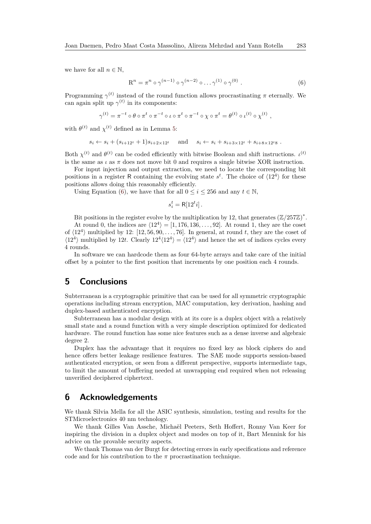we have for all  $n \in \mathbb{N}$ ,

<span id="page-21-0"></span>
$$
R^{n} = \pi^{n} \circ \gamma^{(n-1)} \circ \gamma^{(n-2)} \circ \dots \gamma^{(1)} \circ \gamma^{(0)}.
$$
 (6)

Programming  $\gamma^{(t)}$  instead of the round function allows procrastinating  $\pi$  eternally. We can again split up  $\gamma^{(t)}$  in its components:

$$
\gamma^{(t)} = \pi^{-t} \circ \theta \circ \pi^{t} \circ \pi^{-t} \circ \iota \circ \pi^{t} \circ \pi^{-t} \circ \chi \circ \pi^{t} = \theta^{(t)} \circ \iota^{(t)} \circ \chi^{(t)},
$$

with  $\theta^{(t)}$  and  $\chi^{(t)}$  defined as in Lemma [5:](#page-9-0)

 $s_i \leftarrow s_i + (s_{i+12^t} + 1)s_{i+2\times 12^t}$  and  $s_i \leftarrow s_i + s_{i+3\times 12^t} + s_{i+8\times 12^t8}$ .

Both  $\chi^{(t)}$  and  $\theta^{(t)}$  can be coded efficiently with bitwise Boolean and shift instructions. *ι*<sup>(*t*)</sup> is the same as  $\iota$  as  $\pi$  does not move bit 0 and requires a single bitwise XOR instruction.

For input injection and output extraction, we need to locate the corresponding bit positions in a register R containing the evolving state  $s^t$ . The choice of  $\langle 12^4 \rangle$  for these positions allows doing this reasonably efficiently.

Using Equation [\(6\)](#page-21-0), we have that for all  $0 \le i \le 256$  and any  $t \in \mathbb{N}$ ,

$$
s_i^t = \mathsf{R}[12^t i].
$$

Bit positions in the register evolve by the multiplication by 12, that generates  $(\mathbb{Z}/257\mathbb{Z})^*$ .

At round 0, the indices are  $\langle 12^4 \rangle = [1, 176, 136, \ldots, 92]$ . At round 1, they are the coset of  $\langle 12^4 \rangle$  multiplied by 12: [12, 56, 90, . . . , 76]. In general, at round *t*, they are the coset of  $\langle 12^4 \rangle$  multiplied by 12t. Clearly  $12^4 \langle 12^4 \rangle = \langle 12^4 \rangle$  and hence the set of indices cycles every 4 rounds.

In software we can hardcode them as four 64-byte arrays and take care of the initial offset by a pointer to the first position that increments by one position each 4 rounds.

# **5 Conclusions**

Subterranean is a cryptographic primitive that can be used for all symmetric cryptographic operations including stream encryption, MAC computation, key derivation, hashing and duplex-based authenticated encryption.

Subterranean has a modular design with at its core is a duplex object with a relatively small state and a round function with a very simple description optimized for dedicated hardware. The round function has some nice features such as a dense inverse and algebraic degree 2.

Duplex has the advantage that it requires no fixed key as block ciphers do and hence offers better leakage resilience features. The SAE mode supports session-based authenticated encryption, or seen from a different perspective, supports intermediate tags, to limit the amount of buffering needed at unwrapping end required when not releasing unverified deciphered ciphertext.

# **6 Acknowledgements**

We thank Silvia Mella for all the ASIC synthesis, simulation, testing and results for the STMicroelectronics 40 nm technology.

We thank Gilles Van Assche, Michaël Peeters, Seth Hoffert, Ronny Van Keer for inspiring the division in a duplex object and modes on top of it, Bart Mennink for his advice on the provable security aspects.

We thank Thomas van der Burgt for detecting errors in early specifications and reference code and for his contribution to the  $\pi$  procrastination technique.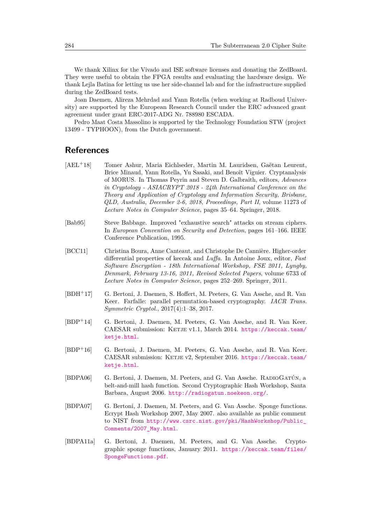We thank Xilinx for the Vivado and ISE software licenses and donating the ZedBoard. They were useful to obtain the FPGA results and evaluating the hardware design. We thank Lejla Batina for letting us use her side-channel lab and for the infrastructure supplied during the ZedBoard tests.

Joan Daemen, Alireza Mehrdad and Yann Rotella (when working at Radboud University) are supported by the European Research Council under the ERC advanced grant agreement under grant ERC-2017-ADG Nr. 788980 ESCADA.

Pedro Maat Costa Massolino is supported by the Technology Foundation STW (project 13499 - TYPHOON), from the Dutch government.

# **References**

- <span id="page-22-7"></span>[AEL<sup>+</sup>18] Tomer Ashur, Maria Eichlseder, Martin M. Lauridsen, Gaëtan Leurent, Brice Minaud, Yann Rotella, Yu Sasaki, and Benoît Viguier. Cryptanalysis of MORUS. In Thomas Peyrin and Steven D. Galbraith, editors, *Advances in Cryptology - ASIACRYPT 2018 - 24th International Conference on the Theory and Application of Cryptology and Information Security, Brisbane, QLD, Australia, December 2-6, 2018, Proceedings, Part II*, volume 11273 of *Lecture Notes in Computer Science*, pages 35–64. Springer, 2018.
- <span id="page-22-8"></span>[Bab95] Steve Babbage. Improved "exhaustive search" attacks on stream ciphers. In *European Convention on Security and Detection*, pages 161–166. IEEE Conference Publication, 1995.
- <span id="page-22-4"></span>[BCC11] Christina Boura, Anne Canteaut, and Christophe De Cannière. Higher-order differential properties of keccak and *Luffa*. In Antoine Joux, editor, *Fast Software Encryption - 18th International Workshop, FSE 2011, Lyngby, Denmark, February 13-16, 2011, Revised Selected Papers*, volume 6733 of *Lecture Notes in Computer Science*, pages 252–269. Springer, 2011.
- <span id="page-22-3"></span>[BDH<sup>+</sup>17] G. Bertoni, J. Daemen, S. Hoffert, M. Peeters, G. Van Assche, and R. Van Keer. Farfalle: parallel permutation-based cryptography. *IACR Trans. Symmetric Cryptol.*, 2017(4):1–38, 2017.
- <span id="page-22-5"></span>[BDP<sup>+</sup>14] G. Bertoni, J. Daemen, M. Peeters, G. Van Assche, and R. Van Keer. CAESAR submission: KETJE v1.1, March 2014. [https://keccak.team/](https://keccak.team/ketje.html) [ketje.html](https://keccak.team/ketje.html).
- <span id="page-22-6"></span>[BDP<sup>+</sup>16] G. Bertoni, J. Daemen, M. Peeters, G. Van Assche, and R. Van Keer. CAESAR submission: KETJE v2, September 2016. [https://keccak.team/](https://keccak.team/ketje.html) [ketje.html](https://keccak.team/ketje.html).
- <span id="page-22-1"></span>[BDPA06] G. Bertoni, J. Daemen, M. Peeters, and G. Van Assche. RADIOGATÚN, a belt-and-mill hash function. Second Cryptographic Hash Workshop, Santa Barbara, August 2006. <http://radiogatun.noekeon.org/>.
- <span id="page-22-0"></span>[BDPA07] G. Bertoni, J. Daemen, M. Peeters, and G. Van Assche. Sponge functions. Ecrypt Hash Workshop 2007, May 2007. also available as public comment to NIST from [http://www.csrc.nist.gov/pki/HashWorkshop/Public\\_](http://www.csrc.nist.gov/pki/HashWorkshop/Public_Comments/2007_May.html) [Comments/2007\\_May.html](http://www.csrc.nist.gov/pki/HashWorkshop/Public_Comments/2007_May.html).
- <span id="page-22-2"></span>[BDPA11a] G. Bertoni, J. Daemen, M. Peeters, and G. Van Assche. Cryptographic sponge functions, January 2011. [https://keccak.team/files/](https://keccak.team/files/SpongeFunctions.pdf) [SpongeFunctions.pdf](https://keccak.team/files/SpongeFunctions.pdf).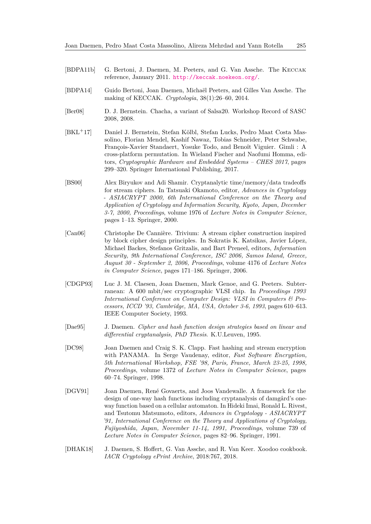- <span id="page-23-5"></span>[BDPA11b] G. Bertoni, J. Daemen, M. Peeters, and G. Van Assche. The Keccak reference, January 2011. <http://keccak.noekeon.org/>.
- <span id="page-23-3"></span>[BDPA14] Guido Bertoni, Joan Daemen, Michaël Peeters, and Gilles Van Assche. The making of KECCAK. *Cryptologia*, 38(1):26–60, 2014.
- <span id="page-23-6"></span>[Ber08] D. J. Bernstein. Chacha, a variant of Salsa20. Workshop Record of SASC 2008, 2008.
- <span id="page-23-10"></span>[BKL<sup>+</sup>17] Daniel J. Bernstein, Stefan Kölbl, Stefan Lucks, Pedro Maat Costa Massolino, Florian Mendel, Kashif Nawaz, Tobias Schneider, Peter Schwabe, François-Xavier Standaert, Yosuke Todo, and Benoît Viguier. Gimli : A cross-platform permutation. In Wieland Fischer and Naofumi Homma, editors, *Cryptographic Hardware and Embedded Systems – CHES 2017*, pages 299–320. Springer International Publishing, 2017.
- <span id="page-23-9"></span>[BS00] Alex Biryukov and Adi Shamir. Cryptanalytic time/memory/data tradeoffs for stream ciphers. In Tatsuaki Okamoto, editor, *Advances in Cryptology - ASIACRYPT 2000, 6th International Conference on the Theory and Application of Cryptology and Information Security, Kyoto, Japan, December 3-7, 2000, Proceedings*, volume 1976 of *Lecture Notes in Computer Science*, pages 1–13. Springer, 2000.
- <span id="page-23-8"></span>[Can06] Christophe De Cannière. Trivium: A stream cipher construction inspired by block cipher design principles. In Sokratis K. Katsikas, Javier López, Michael Backes, Stefanos Gritzalis, and Bart Preneel, editors, *Information Security, 9th International Conference, ISC 2006, Samos Island, Greece, August 30 - September 2, 2006, Proceedings*, volume 4176 of *Lecture Notes in Computer Science*, pages 171–186. Springer, 2006.
- <span id="page-23-0"></span>[CDGP93] Luc J. M. Claesen, Joan Daemen, Mark Genoe, and G. Peeters. Subterranean: A 600 mbit/sec cryptographic VLSI chip. In *Proceedings 1993 International Conference on Computer Design: VLSI in Computers & Processors, ICCD '93, Cambridge, MA, USA, October 3-6, 1993*, pages 610–613. IEEE Computer Society, 1993.
- <span id="page-23-1"></span>[Dae95] J. Daemen. *Cipher and hash function design strategies based on linear and differential cryptanalysis, PhD Thesis*. K.U.Leuven, 1995.
- <span id="page-23-2"></span>[DC98] Joan Daemen and Craig S. K. Clapp. Fast hashing and stream encryption with PANAMA. In Serge Vaudenay, editor, *Fast Software Encryption, 5th International Workshop, FSE '98, Paris, France, March 23-25, 1998, Proceedings*, volume 1372 of *Lecture Notes in Computer Science*, pages 60–74. Springer, 1998.
- <span id="page-23-7"></span>[DGV91] Joan Daemen, René Govaerts, and Joos Vandewalle. A framework for the design of one-way hash functions including cryptanalysis of damgård's oneway function based on a cellular automaton. In Hideki Imai, Ronald L. Rivest, and Tsutomu Matsumoto, editors, *Advances in Cryptology - ASIACRYPT '91, International Conference on the Theory and Applications of Cryptology, Fujiyoshida, Japan, November 11-14, 1991, Proceedings*, volume 739 of *Lecture Notes in Computer Science*, pages 82–96. Springer, 1991.
- <span id="page-23-4"></span>[DHAK18] J. Daemen, S. Hoffert, G. Van Assche, and R. Van Keer. Xoodoo cookbook. *IACR Cryptology ePrint Archive*, 2018:767, 2018.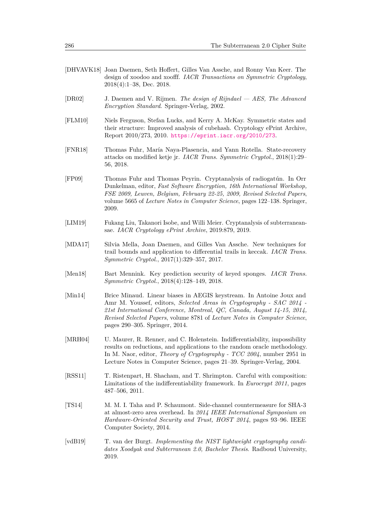- <span id="page-24-0"></span>[DHVAVK18] Joan Daemen, Seth Hoffert, Gilles Van Assche, and Ronny Van Keer. The design of xoodoo and xoofff. *IACR Transactions on Symmetric Cryptology*, 2018(4):1–38, Dec. 2018.
- <span id="page-24-6"></span>[DR02] J. Daemen and V. Rijmen. *The design of Rijndael — AES, The Advanced Encryption Standard*. Springer-Verlag, 2002.
- <span id="page-24-7"></span>[FLM10] Niels Ferguson, Stefan Lucks, and Kerry A. McKay. Symmetric states and their structure: Improved analysis of cubehash. Cryptology ePrint Archive, Report 2010/273, 2010. <https://eprint.iacr.org/2010/273>.
- <span id="page-24-9"></span>[FNR18] Thomas Fuhr, María Naya-Plasencia, and Yann Rotella. State-recovery attacks on modified ketje jr. *IACR Trans. Symmetric Cryptol.*, 2018(1):29– 56, 2018.
- <span id="page-24-8"></span>[FP09] Thomas Fuhr and Thomas Peyrin. Cryptanalysis of radiogatún. In Orr Dunkelman, editor, *Fast Software Encryption, 16th International Workshop, FSE 2009, Leuven, Belgium, February 22-25, 2009, Revised Selected Papers*, volume 5665 of *Lecture Notes in Computer Science*, pages 122–138. Springer, 2009.
- <span id="page-24-5"></span>[LIM19] Fukang Liu, Takanori Isobe, and Willi Meier. Cryptanalysis of subterraneansae. *IACR Cryptology ePrint Archive*, 2019:879, 2019.
- <span id="page-24-11"></span>[MDA17] Silvia Mella, Joan Daemen, and Gilles Van Assche. New techniques for trail bounds and application to differential trails in keccak. *IACR Trans. Symmetric Cryptol.*, 2017(1):329–357, 2017.
- <span id="page-24-3"></span>[Men18] Bart Mennink. Key prediction security of keyed sponges. *IACR Trans. Symmetric Cryptol.*, 2018(4):128–149, 2018.
- <span id="page-24-10"></span>[Min14] Brice Minaud. Linear biases in AEGIS keystream. In Antoine Joux and Amr M. Youssef, editors, *Selected Areas in Cryptography - SAC 2014 - 21st International Conference, Montreal, QC, Canada, August 14-15, 2014, Revised Selected Papers*, volume 8781 of *Lecture Notes in Computer Science*, pages 290–305. Springer, 2014.
- <span id="page-24-1"></span>[MRH04] U. Maurer, R. Renner, and C. Holenstein. Indifferentiability, impossibility results on reductions, and applications to the random oracle methodology. In M. Naor, editor, *Theory of Cryptography - TCC 2004*, number 2951 in Lecture Notes in Computer Science, pages 21–39. Springer-Verlag, 2004.
- <span id="page-24-2"></span>[RSS11] T. Ristenpart, H. Shacham, and T. Shrimpton. Careful with composition: Limitations of the indifferentiability framework. In *Eurocrypt 2011*, pages 487–506, 2011.
- <span id="page-24-4"></span>[TS14] M. M. I. Taha and P. Schaumont. Side-channel countermeasure for SHA-3 at almost-zero area overhead. In *2014 IEEE International Symposium on Hardware-Oriented Security and Trust, HOST 2014*, pages 93–96. IEEE Computer Society, 2014.
- <span id="page-24-12"></span>[vdB19] T. van der Burgt. *Implementing the NIST lightweight cryptography candidates Xoodyak and Subterranean 2.0, Bachelor Thesis*. Radboud University, 2019.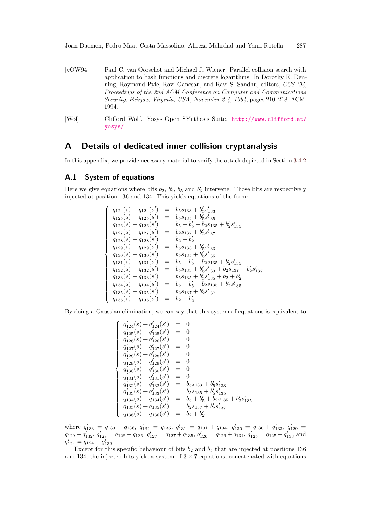- <span id="page-25-2"></span>[vOW94] Paul C. van Oorschot and Michael J. Wiener. Parallel collision search with application to hash functions and discrete logarithms. In Dorothy E. Denning, Raymond Pyle, Ravi Ganesan, and Ravi S. Sandhu, editors, *CCS '94, Proceedings of the 2nd ACM Conference on Computer and Communications Security, Fairfax, Virginia, USA, November 2-4, 1994*, pages 210–218. ACM, 1994.
- <span id="page-25-3"></span>[Wol] Clifford Wolf. Yosys Open SYnthesis Suite. [http://www.clifford.at/](http://www.clifford.at/yosys/) [yosys/](http://www.clifford.at/yosys/).

# <span id="page-25-0"></span>**A Details of dedicated inner collision cryptanalysis**

In this appendix, we provide necessary material to verify the attack depicted in Section [3.4.2](#page-11-1)

## <span id="page-25-1"></span>**A.1 System of equations**

Here we give equations where bits  $b_2$ ,  $b_2$ ,  $b_5$  and  $b_5$  intervene. Those bits are respectively injected at position 136 and 134. This yields equations of the form:

$$
\begin{cases}\n q_{124}(s) + q_{124}(s') &= b_5s_{133} + b'_5s'_{133} \\
 q_{125}(s) + q_{125}(s') &= b_5s_{135} + b'_5s'_{135} \\
 q_{126}(s) + q_{126}(s') &= b_5 + b'_5 + b_2s_{135} + b'_2s'_{135} \\
 q_{127}(s) + q_{127}(s') &= b_2s_{137} + b'_2s'_{137} \\
 q_{128}(s) + q_{128}(s') &= b_5 + b'_2 \\
 q_{129}(s) + q_{129}(s') &= b_5s_{133} + b'_5s'_{133} \\
 q_{130}(s) + q_{130}(s') &= b_5s_{135} + b'_5s'_{135} \\
 q_{131}(s) + q_{131}(s') &= b_5 + b'_5 + b_2s_{135} + b'_2s'_{135} \\
 q_{132}(s) + q_{132}(s') &= b_5s_{133} + b'_5s'_{133} + b_2s_{137} + b'_2s'_{137} \\
 q_{133}(s) + q_{133}(s') &= b_5s_{135} + b'_5s'_{135} + b_2 + b'_2 \\
 q_{134}(s) + q_{134}(s') &= b_5 + b'_5 + b_2s_{135} + b'_2s'_{135} \\
 q_{135}(s) + q_{136}(s') &= b_2s_{137} + b'_2s'_{137} \\
 q_{136}(s) + q_{136}(s') &= b_2 + b'_2\n\end{cases}
$$

By doing a Gaussian elimination, we can say that this system of equations is equivalent to

$$
\begin{cases}\n q'_{124}(s) + q'_{124}(s') &= 0 \\
 q'_{125}(s) + q'_{125}(s') &= 0 \\
 q'_{126}(s) + q'_{126}(s') &= 0 \\
 q'_{127}(s) + q'_{127}(s') &= 0 \\
 q'_{128}(s) + q'_{128}(s') &= 0 \\
 q'_{129}(s) + q'_{129}(s') &= 0 \\
 q'_{130}(s) + q'_{130}(s') &= 0 \\
 q'_{131}(s) + q'_{131}(s') &= 0 \\
 q'_{132}(s) + q'_{132}(s') &= b_5 s_{133} + b'_5 s'_{133} \\
 q'_{133}(s) + q'_{133}(s') &= b_5 s_{135} + b'_5 s'_{135} \\
 q_{134}(s) + q_{134}(s') &= b_5 + b'_5 + b_2 s_{135} + b'_2 s'_{135} \\
 q_{135}(s) + q_{135}(s') &= b_2 s_{137} + b'_2 s'_{137} \\
 q_{136}(s) + q_{136}(s') &= b_2 + b'_2\n\end{cases}
$$

where  $q'_{133} = q_{133} + q_{136}$ ,  $q'_{132} = q_{135}$ ,  $q'_{131} = q_{131} + q_{134}$ ,  $q'_{130} = q_{130} + q'_{133}$ ,  $q'_{129} =$  $q_{129} + q_{132}^{\prime}, q_{128}^{\prime} = q_{128} + q_{136}, q_{127}^{\prime} = q_{127} + q_{135}, q_{126}^{\prime} = q_{126} + q_{134}, q_{125}^{\prime} = q_{125} + q_{133}^{\prime}$  and  $q_{125}^{\prime} = q_{125} + q_{133}^{\prime}$  $q'_{124} = q_{124} + q'_{132}.$ 

Except for this specific behaviour of bits  $b_2$  and  $b_5$  that are injected at positions 136 and 134, the injected bits yield a system of  $3 \times 7$  equations, concatenated with equations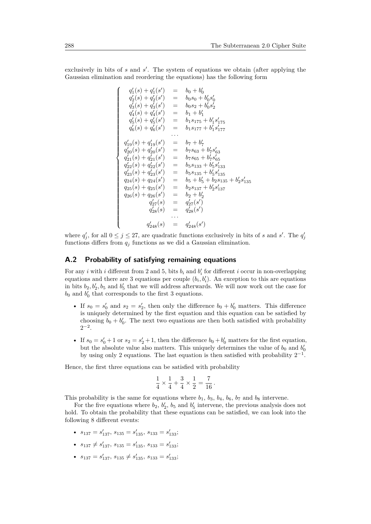exclusively in bits of *s* and *s'*. The system of equations we obtain (after applying the Gaussian elimination and reordering the equations) has the following form

$$
q'_1(s) + q'_1(s') = b_0 + b'_0
$$
  
\n
$$
q'_2(s) + q'_2(s') = b_0s_0 + b'_0s'_0
$$
  
\n
$$
q'_3(s) + q'_3(s') = b_0s_2 + b'_0s'_2
$$
  
\n
$$
q'_4(s) + q'_4(s') = b_1 + b'_1
$$
  
\n
$$
q'_5(s) + q'_5(s') = b_1s_{175} + b'_1s'_{175}
$$
  
\n
$$
q'_6(s) + q'_6(s') = b_1s_{177} + b'_1s'_{177}
$$
  
\n...  
\n
$$
q'_{19}(s) + q'_{19}(s') = b_7 + b'_7
$$
  
\n
$$
q'_{20}(s) + q'_{20}(s') = b_7s_{63} + b'_7s'_{63}
$$
  
\n
$$
q'_{21}(s) + q'_{21}(s') = b_7s_{65} + b'_7s'_{65}
$$
  
\n
$$
q'_{22}(s) + q'_{22}(s') = b_5s_{133} + b'_5s'_{133}
$$
  
\n
$$
q'_{23}(s) + q_{23}(s') = b_5s_{135} + b'_5s'_{135}
$$
  
\n
$$
q_{24}(s) + q_{24}(s') = b_5 + b'_5 + b_2s_{135} + b'_2s'_{135}
$$
  
\n
$$
q_{25}(s) + q_{25}(s') = b_2s_{137} + b'_2s'_{137}
$$
  
\n
$$
q_{26}(s) + q_{26}(s') = b_2 + b'_2
$$
  
\n
$$
q'_{27}(s) = q'_{27}(s')
$$
  
\n
$$
q'_{28}(s) = q'_{28}(s')
$$
  
\n...  
\n
$$
q'_{248}(s) = q'_{248}(s')
$$

where  $q'_{j}$ , for all  $0 \leq j \leq 27$ , are quadratic functions exclusively in bits of *s* and *s'*. The  $q'_{j}$ functions differs from  $q_i$  functions as we did a Gaussian elimination.

### <span id="page-26-0"></span>**A.2 Probability of satisfying remaining equations**

For any *i* with *i* different from 2 and 5, bits  $b_i$  and  $b'_i$  for different *i* occur in non-overlapping equations and there are 3 equations per couple  $(b_i, b'_i)$ . An exception to this are equations in bits  $b_2, b'_2, b_5$  and  $b'_5$  that we will address afterwards. We will now work out the case for  $b_0$  and  $b'_0$  that corresponds to the first 3 equations.

- If  $s_0 = s'_0$  and  $s_2 = s'_2$ , then only the difference  $b_0 + b'_0$  matters. This difference is uniquely determined by the first equation and this equation can be satisfied by choosing  $b_0 + b'_0$ . The next two equations are then both satisfied with probability  $2^{-2}$ .
- If  $s_0 = s'_0 + 1$  or  $s_2 = s'_2 + 1$ , then the difference  $b_0 + b'_0$  matters for the first equation, but the absolute value also matters. This uniquely determines the value of  $b_0$  and  $b'_0$ by using only 2 equations. The last equation is then satisfied with probability  $2^{-1}$ .

Hence, the first three equations can be satisfied with probability

$$
\frac{1}{4} \times \frac{1}{4} + \frac{3}{4} \times \frac{1}{2} = \frac{7}{16} \, .
$$

This probability is the same for equations where  $b_1$ ,  $b_3$ ,  $b_4$ ,  $b_6$ ,  $b_7$  and  $b_8$  intervene.

For the five equations where  $b_2$ ,  $b_2'$ ,  $b_5$  and  $b_5'$  intervene, the previous analysis does not hold. To obtain the probability that these equations can be satisfied, we can look into the following 8 different events:

- $s_{137} = s'_{137}, s_{135} = s'_{135}, s_{133} = s'_{133};$
- $s_{137} \neq s'_{137}, s_{135} = s'_{135}, s_{133} = s'_{133};$
- $s_{137} = s'_{137}, s_{135} \neq s'_{135}, s_{133} = s'_{133};$

 $\sqrt{ }$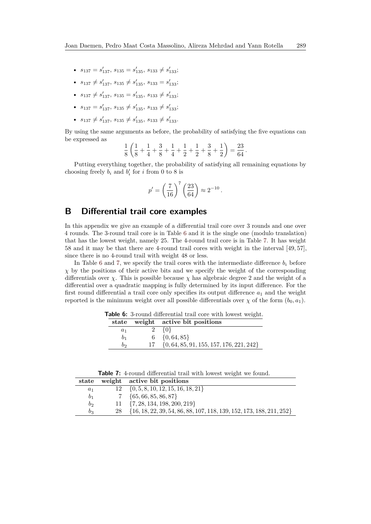- $s_{137} = s'_{137}, s_{135} = s'_{135}, s_{133} \neq s'_{133};$
- $s_{137} \neq s'_{137}, s_{135} \neq s'_{135}, s_{133} = s'_{133};$
- $s_{137} \neq s'_{137}, s_{135} = s'_{135}, s_{133} \neq s'_{133};$
- $s_{137} = s'_{137}, s_{135} \neq s'_{135}, s_{133} \neq s'_{133};$
- $s_{137} \neq s'_{137}$ ,  $s_{135} \neq s'_{135}$ ,  $s_{133} \neq s'_{133}$ .

By using the same arguments as before, the probability of satisfying the five equations can be expressed as

$$
\frac{1}{8}\left(\frac{1}{8} + \frac{1}{4} + \frac{3}{8} + \frac{1}{4} + \frac{1}{2} + \frac{1}{2} + \frac{3}{8} + \frac{1}{2}\right) = \frac{23}{64}.
$$

Putting everything together, the probability of satisfying all remaining equations by choosing freely  $b_i$  and  $b'_i$  for *i* from 0 to 8 is

$$
p' = \left(\frac{7}{16}\right)^7 \left(\frac{23}{64}\right) \approx 2^{-10}.
$$

# <span id="page-27-0"></span>**B Differential trail core examples**

In this appendix we give an example of a differential trail core over 3 rounds and one over 4 rounds. The 3-round trail core is in Table [6](#page-27-1) and it is the single one (modulo translation) that has the lowest weight, namely 25. The 4-round trail core is in Table [7.](#page-27-2) It has weight 58 and it may be that there are 4-round trail cores with weight in the interval [49*,* 57], since there is no 4-round trail with weight 48 or less.

In Table [6](#page-27-1) and [7,](#page-27-2) we specify the trail cores with the intermediate difference  $b_i$  before *χ* by the positions of their active bits and we specify the weight of the corresponding differentials over *χ*. This is possible because *χ* has algebraic degree 2 and the weight of a differential over a quadratic mapping is fully determined by its input difference. For the first round differential a trail core only specifies its output difference  $a_1$  and the weight reported is the minimum weight over all possible differentials over  $\chi$  of the form  $(b_0, a_1)$ .

<span id="page-27-1"></span>**Table 6:** 3-round differential trail core with lowest weight.

|                | state weight active bit positions               |
|----------------|-------------------------------------------------|
| $a_1$          | $2 \{0\}$                                       |
| b <sub>1</sub> | $6 \{0, 64, 85\}$                               |
| b              | $17 \{0, 64, 85, 91, 155, 157, 176, 221, 242\}$ |

**Table 7:** 4-round differential trail with lowest weight we found.

<span id="page-27-2"></span>

|                | state weight active bit positions                                       |
|----------------|-------------------------------------------------------------------------|
| $a_1$          | $12 \{0, 5, 8, 10, 12, 15, 16, 18, 21\}$                                |
| b <sub>1</sub> | $7 \{65, 66, 85, 86, 87\}$                                              |
| b <sub>2</sub> | $11 \{7, 28, 134, 198, 200, 219\}$                                      |
| $b_3$          | 28 {16, 18, 22, 39, 54, 86, 88, 107, 118, 139, 152, 173, 188, 211, 252} |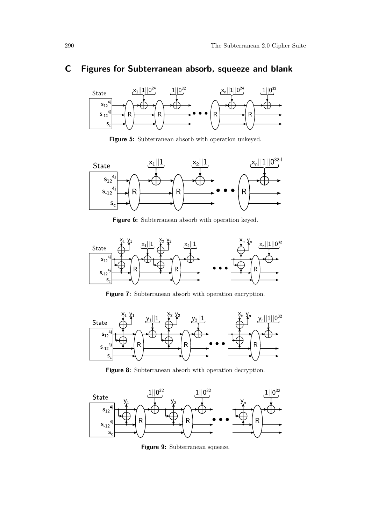# <span id="page-28-0"></span>**C Figures for Subterranean absorb, squeeze and blank**



**Figure 5:** Subterranean absorb with operation unkeyed.



Figure 6: Subterranean absorb with operation keyed.



**Figure 7:** Subterranean absorb with operation encryption.



Figure 8: Subterranean absorb with operation decryption.



Figure 9: Subterranean squeeze.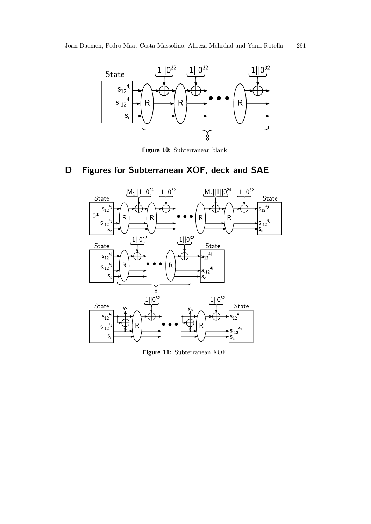

**Figure 10:** Subterranean blank.

# <span id="page-29-0"></span>**D Figures for Subterranean XOF, deck and SAE**



**Figure 11:** Subterranean XOF.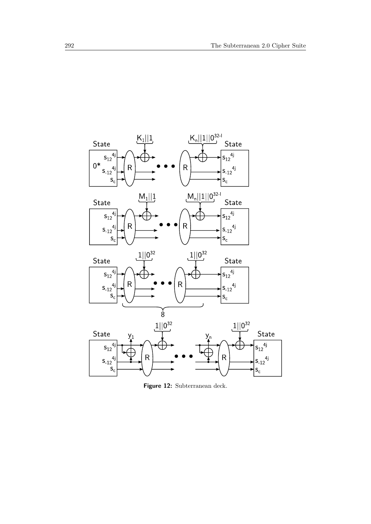

**Figure 12:** Subterranean deck.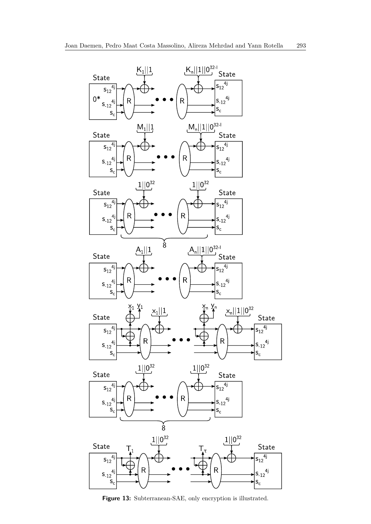

**Figure 13:** Subterranean-SAE, only encryption is illustrated.